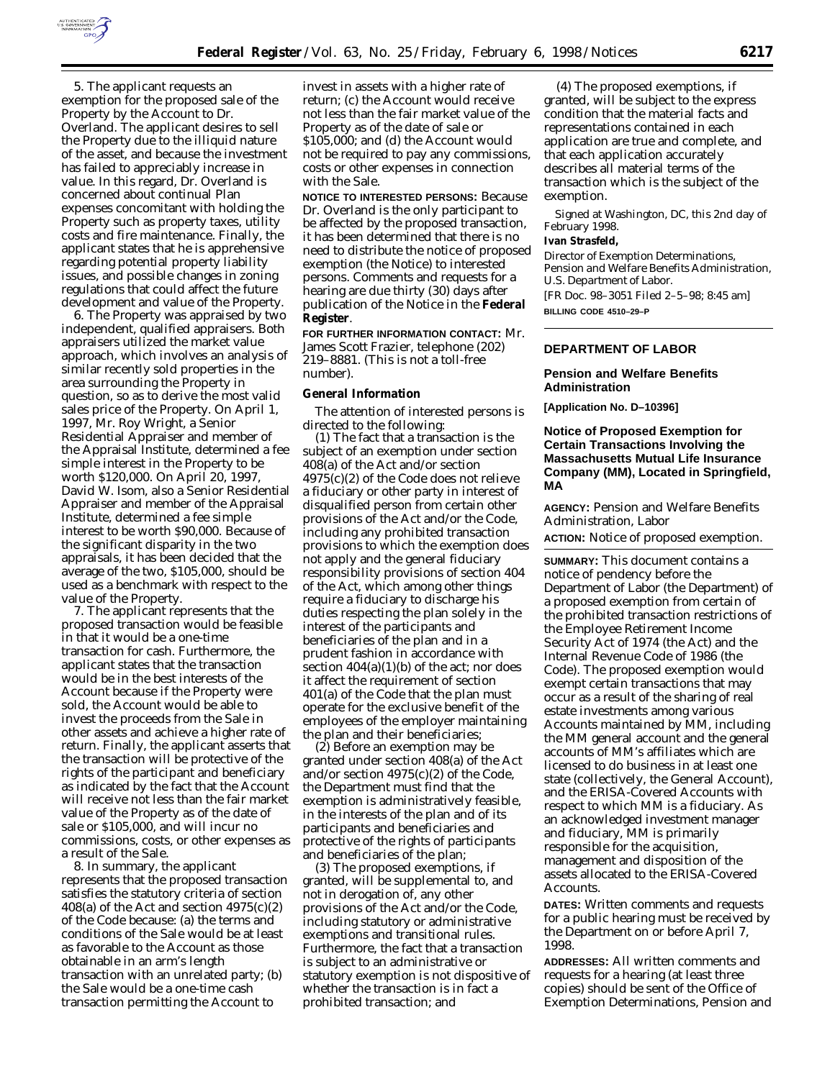

5. The applicant requests an exemption for the proposed sale of the Property by the Account to Dr. Overland. The applicant desires to sell the Property due to the illiquid nature of the asset, and because the investment has failed to appreciably increase in value. In this regard, Dr. Overland is concerned about continual Plan expenses concomitant with holding the Property such as property taxes, utility costs and fire maintenance. Finally, the applicant states that he is apprehensive regarding potential property liability issues, and possible changes in zoning regulations that could affect the future development and value of the Property.

6. The Property was appraised by two independent, qualified appraisers. Both appraisers utilized the market value approach, which involves an analysis of similar recently sold properties in the area surrounding the Property in question, so as to derive the most valid sales price of the Property. On April 1, 1997, Mr. Roy Wright, a Senior Residential Appraiser and member of the Appraisal Institute, determined a fee simple interest in the Property to be worth \$120,000. On April 20, 1997, David W. Isom, also a Senior Residential Appraiser and member of the Appraisal Institute, determined a fee simple interest to be worth \$90,000. Because of the significant disparity in the two appraisals, it has been decided that the average of the two, \$105,000, should be used as a benchmark with respect to the value of the Property.

7. The applicant represents that the proposed transaction would be feasible in that it would be a one-time transaction for cash. Furthermore, the applicant states that the transaction would be in the best interests of the Account because if the Property were sold, the Account would be able to invest the proceeds from the Sale in other assets and achieve a higher rate of return. Finally, the applicant asserts that the transaction will be protective of the rights of the participant and beneficiary as indicated by the fact that the Account will receive not less than the fair market value of the Property as of the date of sale or \$105,000, and will incur no commissions, costs, or other expenses as a result of the Sale.

8. In summary, the applicant represents that the proposed transaction satisfies the statutory criteria of section 408(a) of the Act and section  $4975(c)(2)$ of the Code because: (a) the terms and conditions of the Sale would be at least as favorable to the Account as those obtainable in an arm's length transaction with an unrelated party; (b) the Sale would be a one-time cash transaction permitting the Account to

invest in assets with a higher rate of return; (c) the Account would receive not less than the fair market value of the Property as of the date of sale or \$105,000; and (d) the Account would not be required to pay any commissions, costs or other expenses in connection with the Sale.

**NOTICE TO INTERESTED PERSONS:** Because Dr. Overland is the only participant to be affected by the proposed transaction, it has been determined that there is no need to distribute the notice of proposed exemption (the Notice) to interested persons. Comments and requests for a hearing are due thirty (30) days after publication of the Notice in the **Federal Register**.

**FOR FURTHER INFORMATION CONTACT:** Mr. James Scott Frazier, telephone (202) 219–8881. (This is not a toll-free number).

### **General Information**

The attention of interested persons is directed to the following:

(1) The fact that a transaction is the subject of an exemption under section 408(a) of the Act and/or section 4975(c)(2) of the Code does not relieve a fiduciary or other party in interest of disqualified person from certain other provisions of the Act and/or the Code, including any prohibited transaction provisions to which the exemption does not apply and the general fiduciary responsibility provisions of section 404 of the Act, which among other things require a fiduciary to discharge his duties respecting the plan solely in the interest of the participants and beneficiaries of the plan and in a prudent fashion in accordance with section  $404(a)(1)(b)$  of the act; nor does it affect the requirement of section 401(a) of the Code that the plan must operate for the exclusive benefit of the employees of the employer maintaining the plan and their beneficiaries;

(2) Before an exemption may be granted under section 408(a) of the Act and/or section 4975(c)(2) of the Code, the Department must find that the exemption is administratively feasible, in the interests of the plan and of its participants and beneficiaries and protective of the rights of participants and beneficiaries of the plan;

(3) The proposed exemptions, if granted, will be supplemental to, and not in derogation of, any other provisions of the Act and/or the Code, including statutory or administrative exemptions and transitional rules. Furthermore, the fact that a transaction is subject to an administrative or statutory exemption is not dispositive of whether the transaction is in fact a prohibited transaction; and

(4) The proposed exemptions, if granted, will be subject to the express condition that the material facts and representations contained in each application are true and complete, and that each application accurately describes all material terms of the transaction which is the subject of the exemption.

Signed at Washington, DC, this 2nd day of February 1998.

#### **Ivan Strasfeld,**

*Director of Exemption Determinations, Pension and Welfare Benefits Administration, U.S. Department of Labor.* [FR Doc. 98–3051 Filed 2–5–98; 8:45 am]

**BILLING CODE 4510–29–P**

### **DEPARTMENT OF LABOR**

### **Pension and Welfare Benefits Administration**

**[Application No. D–10396]**

# **Notice of Proposed Exemption for Certain Transactions Involving the Massachusetts Mutual Life Insurance Company (MM), Located in Springfield, MA**

**AGENCY:** Pension and Welfare Benefits Administration, Labor

**ACTION:** Notice of proposed exemption.

**SUMMARY:** This document contains a notice of pendency before the Department of Labor (the Department) of a proposed exemption from certain of the prohibited transaction restrictions of the Employee Retirement Income Security Act of 1974 (the Act) and the Internal Revenue Code of 1986 (the Code). The proposed exemption would exempt certain transactions that may occur as a result of the sharing of real estate investments among various Accounts maintained by MM, including the MM general account and the general accounts of MM's affiliates which are licensed to do business in at least one state (collectively, the General Account), and the ERISA-Covered Accounts with respect to which MM is a fiduciary. As an acknowledged investment manager and fiduciary, MM is primarily responsible for the acquisition, management and disposition of the assets allocated to the ERISA-Covered **Accounts** 

**DATES:** Written comments and requests for a public hearing must be received by the Department on or before April 7, 1998.

**ADDRESSES:** All written comments and requests for a hearing (at least three copies) should be sent of the Office of Exemption Determinations, Pension and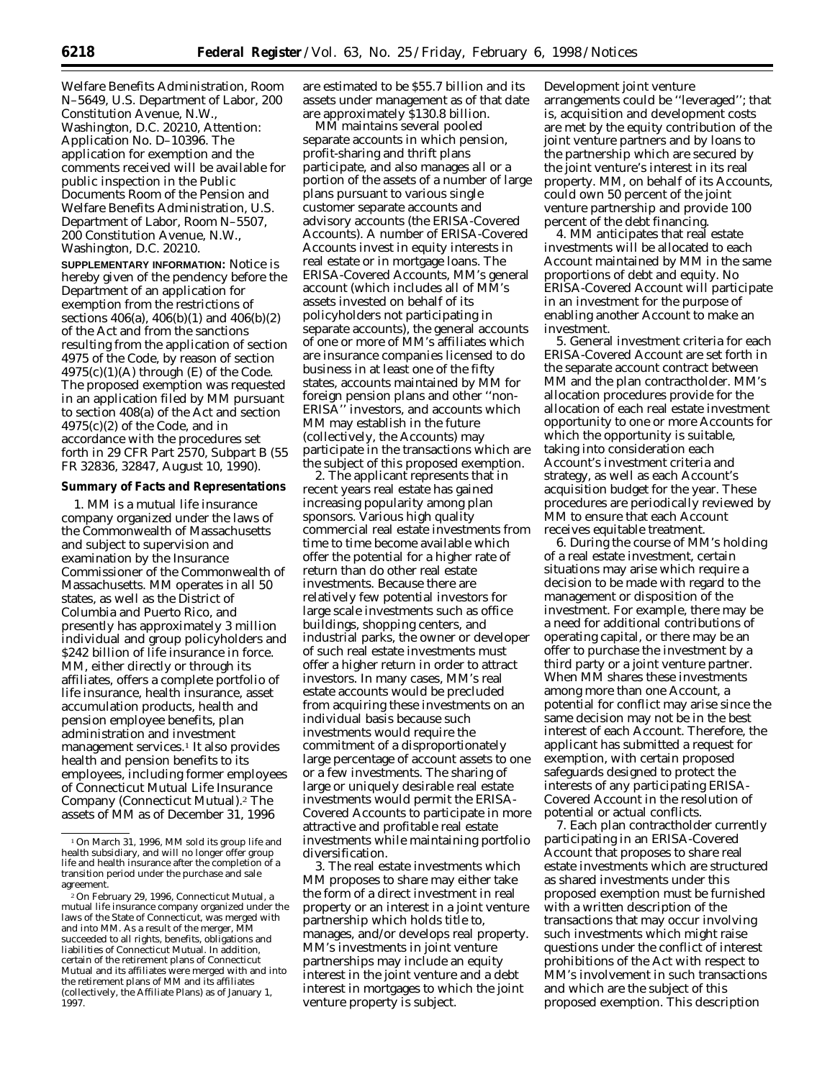Welfare Benefits Administration, Room N–5649, U.S. Department of Labor, 200 Constitution Avenue, N.W., Washington, D.C. 20210, Attention: Application No. D–10396. The application for exemption and the comments received will be available for public inspection in the Public Documents Room of the Pension and Welfare Benefits Administration, U.S. Department of Labor, Room N–5507, 200 Constitution Avenue, N.W., Washington, D.C. 20210.

**SUPPLEMENTARY INFORMATION:** Notice is hereby given of the pendency before the Department of an application for exemption from the restrictions of sections 406(a), 406(b)(1) and 406(b)(2) of the Act and from the sanctions resulting from the application of section 4975 of the Code, by reason of section  $4975(c)(1)(A)$  through (E) of the Code. The proposed exemption was requested in an application filed by MM pursuant to section 408(a) of the Act and section 4975(c)(2) of the Code, and in accordance with the procedures set forth in 29 CFR Part 2570, Subpart B (55 FR 32836, 32847, August 10, 1990).

### **Summary of Facts and Representations**

1. MM is a mutual life insurance company organized under the laws of the Commonwealth of Massachusetts and subject to supervision and examination by the Insurance Commissioner of the Commonwealth of Massachusetts. MM operates in all 50 states, as well as the District of Columbia and Puerto Rico, and presently has approximately 3 million individual and group policyholders and \$242 billion of life insurance in force. MM, either directly or through its affiliates, offers a complete portfolio of life insurance, health insurance, asset accumulation products, health and pension employee benefits, plan administration and investment management services.<sup>1</sup> It also provides health and pension benefits to its employees, including former employees of Connecticut Mutual Life Insurance Company (Connecticut Mutual).2 The assets of MM as of December 31, 1996

are estimated to be \$55.7 billion and its assets under management as of that date are approximately \$130.8 billion.

MM maintains several pooled separate accounts in which pension, profit-sharing and thrift plans participate, and also manages all or a portion of the assets of a number of large plans pursuant to various single customer separate accounts and advisory accounts (the ERISA-Covered Accounts). A number of ERISA-Covered Accounts invest in equity interests in real estate or in mortgage loans. The ERISA-Covered Accounts, MM's general account (which includes all of MM's assets invested on behalf of its policyholders not participating in separate accounts), the general accounts of one or more of MM's affiliates which are insurance companies licensed to do business in at least one of the fifty states, accounts maintained by MM for foreign pension plans and other ''non-ERISA'' investors, and accounts which MM may establish in the future (collectively, the Accounts) may participate in the transactions which are the subject of this proposed exemption.

2. The applicant represents that in recent years real estate has gained increasing popularity among plan sponsors. Various high quality commercial real estate investments from time to time become available which offer the potential for a higher rate of return than do other real estate investments. Because there are relatively few potential investors for large scale investments such as office buildings, shopping centers, and industrial parks, the owner or developer of such real estate investments must offer a higher return in order to attract investors. In many cases, MM's real estate accounts would be precluded from acquiring these investments on an individual basis because such investments would require the commitment of a disproportionately large percentage of account assets to one or a few investments. The sharing of large or uniquely desirable real estate investments would permit the ERISA-Covered Accounts to participate in more attractive and profitable real estate investments while maintaining portfolio diversification.

3. The real estate investments which MM proposes to share may either take the form of a direct investment in real property or an interest in a joint venture partnership which holds title to, manages, and/or develops real property. MM's investments in joint venture partnerships may include an equity interest in the joint venture and a debt interest in mortgages to which the joint venture property is subject.

Development joint venture arrangements could be ''leveraged''; that is, acquisition and development costs are met by the equity contribution of the joint venture partners and by loans to the partnership which are secured by the joint venture's interest in its real property. MM, on behalf of its Accounts, could own 50 percent of the joint venture partnership and provide 100 percent of the debt financing.

4. MM anticipates that real estate investments will be allocated to each Account maintained by MM in the same proportions of debt and equity. No ERISA-Covered Account will participate in an investment for the purpose of enabling another Account to make an investment.

5. General investment criteria for each ERISA-Covered Account are set forth in the separate account contract between MM and the plan contractholder. MM's allocation procedures provide for the allocation of each real estate investment opportunity to one or more Accounts for which the opportunity is suitable, taking into consideration each Account's investment criteria and strategy, as well as each Account's acquisition budget for the year. These procedures are periodically reviewed by MM to ensure that each Account receives equitable treatment.

6. During the course of MM's holding of a real estate investment, certain situations may arise which require a decision to be made with regard to the management or disposition of the investment. For example, there may be a need for additional contributions of operating capital, or there may be an offer to purchase the investment by a third party or a joint venture partner. When MM shares these investments among more than one Account, a potential for conflict may arise since the same decision may not be in the best interest of each Account. Therefore, the applicant has submitted a request for exemption, with certain proposed safeguards designed to protect the interests of any participating ERISA-Covered Account in the resolution of potential or actual conflicts.

7. Each plan contractholder currently participating in an ERISA-Covered Account that proposes to share real estate investments which are structured as shared investments under this proposed exemption must be furnished with a written description of the transactions that may occur involving such investments which might raise questions under the conflict of interest prohibitions of the Act with respect to MM's involvement in such transactions and which are the subject of this proposed exemption. This description

<sup>1</sup>On March 31, 1996, MM sold its group life and health subsidiary, and will no longer offer group life and health insurance after the completion of a transition period under the purchase and sale agreement.

<sup>&</sup>lt;sup>2</sup>On February 29, 1996, Connecticut Mutual, a mutual life insurance company organized under the laws of the State of Connecticut, was merged with and into MM. As a result of the merger, MM succeeded to all rights, benefits, obligations and liabilities of Connecticut Mutual. In addition, certain of the retirement plans of Connecticut Mutual and its affiliates were merged with and into the retirement plans of MM and its affiliates (collectively, the Affiliate Plans) as of January 1, 1997.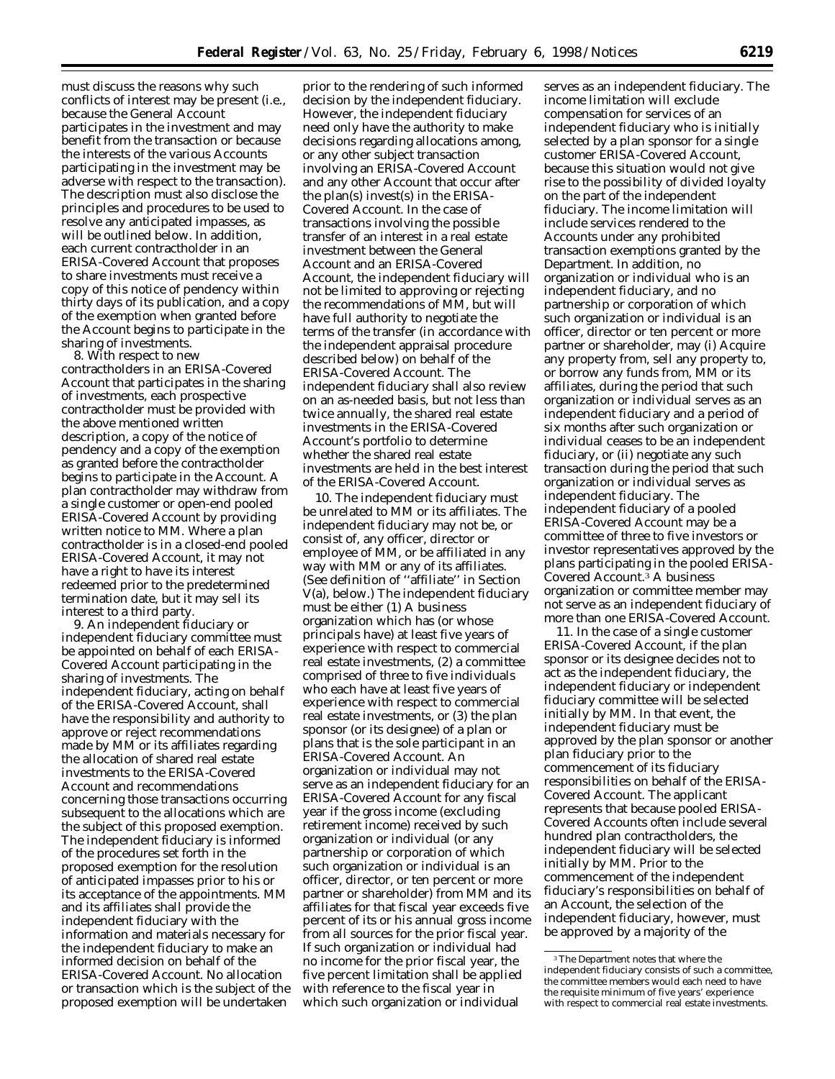must discuss the reasons why such conflicts of interest may be present (*i.e.,* because the General Account participates in the investment and may benefit from the transaction or because the interests of the various Accounts participating in the investment may be adverse with respect to the transaction). The description must also disclose the principles and procedures to be used to resolve any anticipated impasses, as will be outlined below. In addition, each current contractholder in an ERISA-Covered Account that proposes to share investments must receive a copy of this notice of pendency within thirty days of its publication, and a copy of the exemption when granted before the Account begins to participate in the sharing of investments.

8. With respect to new contractholders in an ERISA-Covered Account that participates in the sharing of investments, each prospective contractholder must be provided with the above mentioned written description, a copy of the notice of pendency and a copy of the exemption as granted before the contractholder begins to participate in the Account. A plan contractholder may withdraw from a single customer or open-end pooled ERISA-Covered Account by providing written notice to MM. Where a plan contractholder is in a closed-end pooled ERISA-Covered Account, it may not have a right to have its interest redeemed prior to the predetermined termination date, but it may sell its interest to a third party.

9. An independent fiduciary or independent fiduciary committee must be appointed on behalf of each ERISA-Covered Account participating in the sharing of investments. The independent fiduciary, acting on behalf of the ERISA-Covered Account, shall have the responsibility and authority to approve or reject recommendations made by MM or its affiliates regarding the allocation of shared real estate investments to the ERISA-Covered Account and recommendations concerning those transactions occurring subsequent to the allocations which are the subject of this proposed exemption. The independent fiduciary is informed of the procedures set forth in the proposed exemption for the resolution of anticipated impasses prior to his or its acceptance of the appointments. MM and its affiliates shall provide the independent fiduciary with the information and materials necessary for the independent fiduciary to make an informed decision on behalf of the ERISA-Covered Account. No allocation or transaction which is the subject of the proposed exemption will be undertaken

prior to the rendering of such informed decision by the independent fiduciary. However, the independent fiduciary need only have the authority to make decisions regarding allocations among, or any other subject transaction involving an ERISA-Covered Account and any other Account that occur after the plan(s) invest(s) in the ERISA-Covered Account. In the case of transactions involving the possible transfer of an interest in a real estate investment between the General Account and an ERISA-Covered Account, the independent fiduciary will not be limited to approving or rejecting the recommendations of MM, but will have full authority to negotiate the terms of the transfer (in accordance with the independent appraisal procedure described below) on behalf of the ERISA-Covered Account. The independent fiduciary shall also review on an as-needed basis, but not less than twice annually, the shared real estate investments in the ERISA-Covered Account's portfolio to determine whether the shared real estate investments are held in the best interest of the ERISA-Covered Account.

10. The independent fiduciary must be unrelated to MM or its affiliates. The independent fiduciary may not be, or consist of, any officer, director or employee of MM, or be affiliated in any way with MM or any of its affiliates. (See definition of ''affiliate'' in Section V(a), below.) The independent fiduciary must be either (1) A business organization which has (or whose principals have) at least five years of experience with respect to commercial real estate investments, (2) a committee comprised of three to five individuals who each have at least five years of experience with respect to commercial real estate investments, or (3) the plan sponsor (or its designee) of a plan or plans that is the sole participant in an ERISA-Covered Account. An organization or individual may not serve as an independent fiduciary for an ERISA-Covered Account for any fiscal year if the gross income (excluding retirement income) received by such organization or individual (or any partnership or corporation of which such organization or individual is an officer, director, or ten percent or more partner or shareholder) from MM and its affiliates for that fiscal year exceeds five percent of its or his annual gross income from all sources for the prior fiscal year. If such organization or individual had no income for the prior fiscal year, the five percent limitation shall be applied with reference to the fiscal year in which such organization or individual

serves as an independent fiduciary. The income limitation will exclude compensation for services of an independent fiduciary who is initially selected by a plan sponsor for a single customer ERISA-Covered Account, because this situation would not give rise to the possibility of divided loyalty on the part of the independent fiduciary. The income limitation will include services rendered to the Accounts under any prohibited transaction exemptions granted by the Department. In addition, no organization or individual who is an independent fiduciary, and no partnership or corporation of which such organization or individual is an officer, director or ten percent or more partner or shareholder, may (i) Acquire any property from, sell any property to, or borrow any funds from, MM or its affiliates, during the period that such organization or individual serves as an independent fiduciary and a period of six months after such organization or individual ceases to be an independent fiduciary, or (ii) negotiate any such transaction during the period that such organization or individual serves as independent fiduciary. The independent fiduciary of a pooled ERISA-Covered Account may be a committee of three to five investors or investor representatives approved by the plans participating in the pooled ERISA-Covered Account.3 A business organization or committee member may not serve as an independent fiduciary of more than one ERISA-Covered Account.

11. In the case of a single customer ERISA-Covered Account, if the plan sponsor or its designee decides not to act as the independent fiduciary, the independent fiduciary or independent fiduciary committee will be selected initially by MM. In that event, the independent fiduciary must be approved by the plan sponsor or another plan fiduciary prior to the commencement of its fiduciary responsibilities on behalf of the ERISA-Covered Account. The applicant represents that because pooled ERISA-Covered Accounts often include several hundred plan contractholders, the independent fiduciary will be selected initially by MM. Prior to the commencement of the independent fiduciary's responsibilities on behalf of an Account, the selection of the independent fiduciary, however, must be approved by a majority of the

<sup>3</sup>The Department notes that where the independent fiduciary consists of such a committee, the committee members would each need to have the requisite minimum of five years' experience with respect to commercial real estate investments.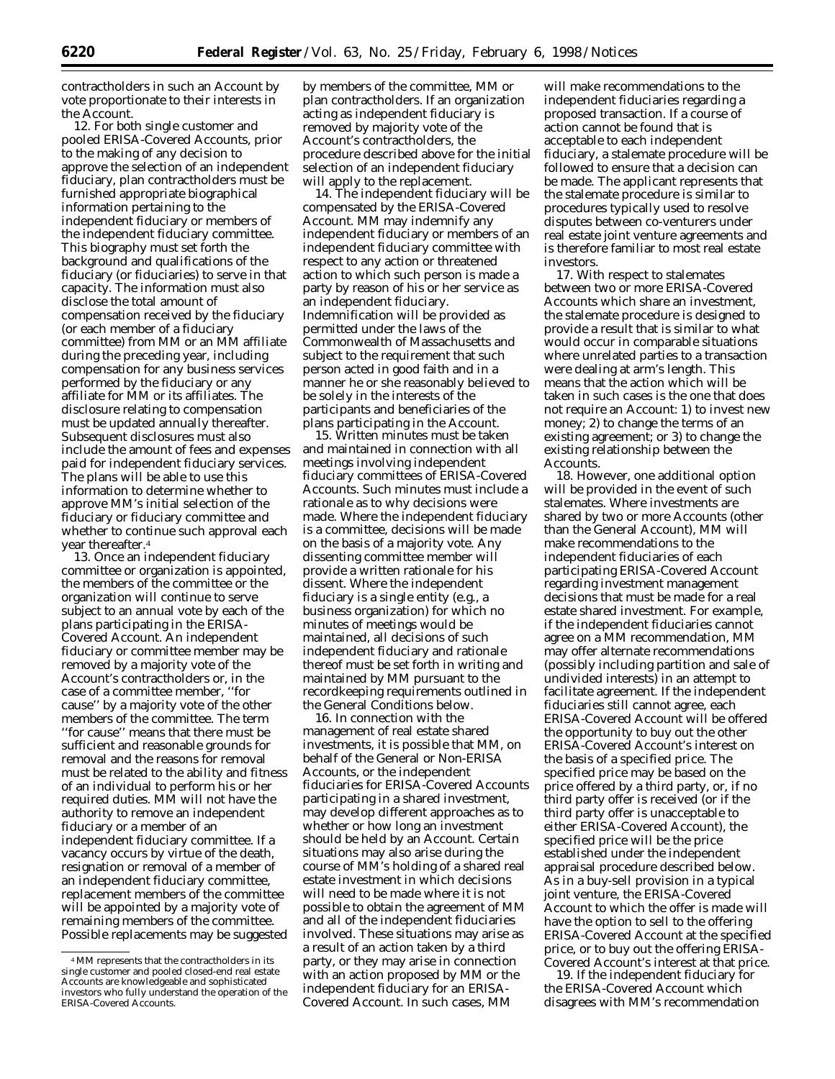contractholders in such an Account by vote proportionate to their interests in the Account.

12. For both single customer and pooled ERISA-Covered Accounts, prior to the making of any decision to approve the selection of an independent fiduciary, plan contractholders must be furnished appropriate biographical information pertaining to the independent fiduciary or members of the independent fiduciary committee. This biography must set forth the background and qualifications of the fiduciary (or fiduciaries) to serve in that capacity. The information must also disclose the total amount of compensation received by the fiduciary (or each member of a fiduciary committee) from MM or an MM affiliate during the preceding year, including compensation for any business services performed by the fiduciary or any affiliate for MM or its affiliates. The disclosure relating to compensation must be updated annually thereafter. Subsequent disclosures must also include the amount of fees and expenses paid for independent fiduciary services. The plans will be able to use this information to determine whether to approve MM's initial selection of the fiduciary or fiduciary committee and whether to continue such approval each year thereafter.4

13. Once an independent fiduciary committee or organization is appointed, the members of the committee or the organization will continue to serve subject to an annual vote by each of the plans participating in the ERISA-Covered Account. An independent fiduciary or committee member may be removed by a majority vote of the Account's contractholders or, in the case of a committee member, ''for cause'' by a majority vote of the other members of the committee. The term ''for cause'' means that there must be sufficient and reasonable grounds for removal and the reasons for removal must be related to the ability and fitness of an individual to perform his or her required duties. MM will not have the authority to remove an independent fiduciary or a member of an independent fiduciary committee. If a vacancy occurs by virtue of the death, resignation or removal of a member of an independent fiduciary committee, replacement members of the committee will be appointed by a majority vote of remaining members of the committee. Possible replacements may be suggested

by members of the committee, MM or plan contractholders. If an organization acting as independent fiduciary is removed by majority vote of the Account's contractholders, the procedure described above for the initial selection of an independent fiduciary will apply to the replacement.

14. The independent fiduciary will be compensated by the ERISA-Covered Account. MM may indemnify any independent fiduciary or members of an independent fiduciary committee with respect to any action or threatened action to which such person is made a party by reason of his or her service as an independent fiduciary. Indemnification will be provided as permitted under the laws of the Commonwealth of Massachusetts and subject to the requirement that such person acted in good faith and in a manner he or she reasonably believed to be solely in the interests of the participants and beneficiaries of the plans participating in the Account.

15. Written minutes must be taken and maintained in connection with all meetings involving independent fiduciary committees of ERISA-Covered Accounts. Such minutes must include a rationale as to why decisions were made. Where the independent fiduciary is a committee, decisions will be made on the basis of a majority vote. Any dissenting committee member will provide a written rationale for his dissent. Where the independent fiduciary is a single entity (e.g., a business organization) for which no minutes of meetings would be maintained, all decisions of such independent fiduciary and rationale thereof must be set forth in writing and maintained by MM pursuant to the recordkeeping requirements outlined in the General Conditions below.

16. In connection with the management of real estate shared investments, it is possible that MM, on behalf of the General or Non-ERISA Accounts, or the independent fiduciaries for ERISA-Covered Accounts participating in a shared investment, may develop different approaches as to whether or how long an investment should be held by an Account. Certain situations may also arise during the course of MM's holding of a shared real estate investment in which decisions will need to be made where it is not possible to obtain the agreement of MM and all of the independent fiduciaries involved. These situations may arise as a result of an action taken by a third party, or they may arise in connection with an action proposed by MM or the independent fiduciary for an ERISA-Covered Account. In such cases, MM

will make recommendations to the independent fiduciaries regarding a proposed transaction. If a course of action cannot be found that is acceptable to each independent fiduciary, a stalemate procedure will be followed to ensure that a decision can be made. The applicant represents that the stalemate procedure is similar to procedures typically used to resolve disputes between co-venturers under real estate joint venture agreements and is therefore familiar to most real estate investors.

17. With respect to stalemates between two or more ERISA-Covered Accounts which share an investment, the stalemate procedure is designed to provide a result that is similar to what would occur in comparable situations where unrelated parties to a transaction were dealing at arm's length. This means that the action which will be taken in such cases is the one that does not require an Account: 1) to invest new money; 2) to change the terms of an existing agreement; or 3) to change the existing relationship between the Accounts.

18. However, one additional option will be provided in the event of such stalemates. Where investments are shared by two or more Accounts (other than the General Account), MM will make recommendations to the independent fiduciaries of each participating ERISA-Covered Account regarding investment management decisions that must be made for a real estate shared investment. For example, if the independent fiduciaries cannot agree on a MM recommendation, MM may offer alternate recommendations (possibly including partition and sale of undivided interests) in an attempt to facilitate agreement. If the independent fiduciaries still cannot agree, each ERISA-Covered Account will be offered the opportunity to buy out the other ERISA-Covered Account's interest on the basis of a specified price. The specified price may be based on the price offered by a third party, or, if no third party offer is received (or if the third party offer is unacceptable to either ERISA-Covered Account), the specified price will be the price established under the independent appraisal procedure described below. As in a buy-sell provision in a typical joint venture, the ERISA-Covered Account to which the offer is made will have the option to sell to the offering ERISA-Covered Account at the specified price, or to buy out the offering ERISA-Covered Account's interest at that price.

19. If the independent fiduciary for the ERISA-Covered Account which disagrees with MM's recommendation

<sup>4</sup>MM represents that the contractholders in its single customer and pooled closed-end real estate Accounts are knowledgeable and sophisticated investors who fully understand the operation of the ERISA-Covered Accounts.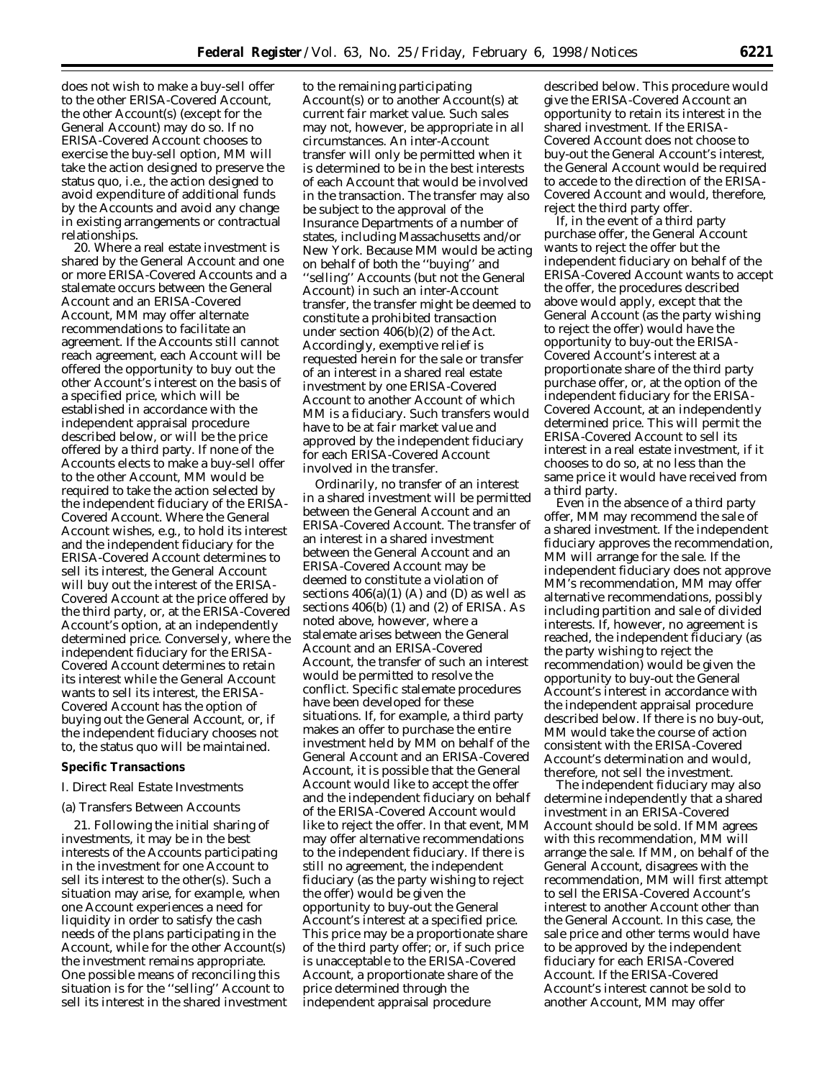does not wish to make a buy-sell offer to the other ERISA-Covered Account, the other Account(s) (except for the General Account) may do so. If no ERISA-Covered Account chooses to exercise the buy-sell option, MM will take the action designed to preserve the status quo, i.e., the action designed to avoid expenditure of additional funds by the Accounts and avoid any change in existing arrangements or contractual relationships.

20. Where a real estate investment is shared by the General Account and one or more ERISA-Covered Accounts and a stalemate occurs between the General Account and an ERISA-Covered Account, MM may offer alternate recommendations to facilitate an agreement. If the Accounts still cannot reach agreement, each Account will be offered the opportunity to buy out the other Account's interest on the basis of a specified price, which will be established in accordance with the independent appraisal procedure described below, or will be the price offered by a third party. If none of the Accounts elects to make a buy-sell offer to the other Account, MM would be required to take the action selected by the independent fiduciary of the ERISA-Covered Account. Where the General Account wishes, e.g., to hold its interest and the independent fiduciary for the ERISA-Covered Account determines to sell its interest, the General Account will buy out the interest of the ERISA-Covered Account at the price offered by the third party, or, at the ERISA-Covered Account's option, at an independently determined price. Conversely, where the independent fiduciary for the ERISA-Covered Account determines to retain its interest while the General Account wants to sell its interest, the ERISA-Covered Account has the option of buying out the General Account, or, if the independent fiduciary chooses not to, the status quo will be maintained.

#### **Specific Transactions**

# *I. Direct Real Estate Investments*

#### (a) Transfers Between Accounts

21. Following the initial sharing of investments, it may be in the best interests of the Accounts participating in the investment for one Account to sell its interest to the other(s). Such a situation may arise, for example, when one Account experiences a need for liquidity in order to satisfy the cash needs of the plans participating in the Account, while for the other Account(s) the investment remains appropriate. One possible means of reconciling this situation is for the ''selling'' Account to sell its interest in the shared investment

to the remaining participating Account(s) or to another Account(s) at current fair market value. Such sales may not, however, be appropriate in all circumstances. An inter-Account transfer will only be permitted when it is determined to be in the best interests of each Account that would be involved in the transaction. The transfer may also be subject to the approval of the Insurance Departments of a number of states, including Massachusetts and/or New York. Because MM would be acting on behalf of both the ''buying'' and ''selling'' Accounts (but not the General Account) in such an inter-Account transfer, the transfer might be deemed to constitute a prohibited transaction under section 406(b)(2) of the Act. Accordingly, exemptive relief is requested herein for the sale or transfer of an interest in a shared real estate investment by one ERISA-Covered Account to another Account of which MM is a fiduciary. Such transfers would have to be at fair market value and approved by the independent fiduciary for each ERISA-Covered Account involved in the transfer.

Ordinarily, no transfer of an interest in a shared investment will be permitted between the General Account and an ERISA-Covered Account. The transfer of an interest in a shared investment between the General Account and an ERISA-Covered Account may be deemed to constitute a violation of sections  $406(a)(1)$  (A) and (D) as well as sections 406(b) (1) and (2) of ERISA. As noted above, however, where a stalemate arises between the General Account and an ERISA-Covered Account, the transfer of such an interest would be permitted to resolve the conflict. Specific stalemate procedures have been developed for these situations. If, for example, a third party makes an offer to purchase the entire investment held by MM on behalf of the General Account and an ERISA-Covered Account, it is possible that the General Account would like to accept the offer and the independent fiduciary on behalf of the ERISA-Covered Account would like to reject the offer. In that event, MM may offer alternative recommendations to the independent fiduciary. If there is still no agreement, the independent fiduciary (as the party wishing to reject the offer) would be given the opportunity to buy-out the General Account's interest at a specified price. This price may be a proportionate share of the third party offer; or, if such price is unacceptable to the ERISA-Covered Account, a proportionate share of the price determined through the independent appraisal procedure

described below. This procedure would give the ERISA-Covered Account an opportunity to retain its interest in the shared investment. If the ERISA-Covered Account does not choose to buy-out the General Account's interest, the General Account would be required to accede to the direction of the ERISA-Covered Account and would, therefore, reject the third party offer.

If, in the event of a third party purchase offer, the General Account wants to reject the offer but the independent fiduciary on behalf of the ERISA-Covered Account wants to accept the offer, the procedures described above would apply, except that the General Account (as the party wishing to reject the offer) would have the opportunity to buy-out the ERISA-Covered Account's interest at a proportionate share of the third party purchase offer, or, at the option of the independent fiduciary for the ERISA-Covered Account, at an independently determined price. This will permit the ERISA-Covered Account to sell its interest in a real estate investment, if it chooses to do so, at no less than the same price it would have received from a third party.

Even in the absence of a third party offer, MM may recommend the sale of a shared investment. If the independent fiduciary approves the recommendation, MM will arrange for the sale. If the independent fiduciary does not approve MM's recommendation, MM may offer alternative recommendations, possibly including partition and sale of divided interests. If, however, no agreement is reached, the independent fiduciary (as the party wishing to reject the recommendation) would be given the opportunity to buy-out the General Account's interest in accordance with the independent appraisal procedure described below. If there is no buy-out, MM would take the course of action consistent with the ERISA-Covered Account's determination and would, therefore, not sell the investment.

The independent fiduciary may also determine independently that a shared investment in an ERISA-Covered Account should be sold. If MM agrees with this recommendation, MM will arrange the sale. If MM, on behalf of the General Account, disagrees with the recommendation, MM will first attempt to sell the ERISA-Covered Account's interest to another Account other than the General Account. In this case, the sale price and other terms would have to be approved by the independent fiduciary for each ERISA-Covered Account. If the ERISA-Covered Account's interest cannot be sold to another Account, MM may offer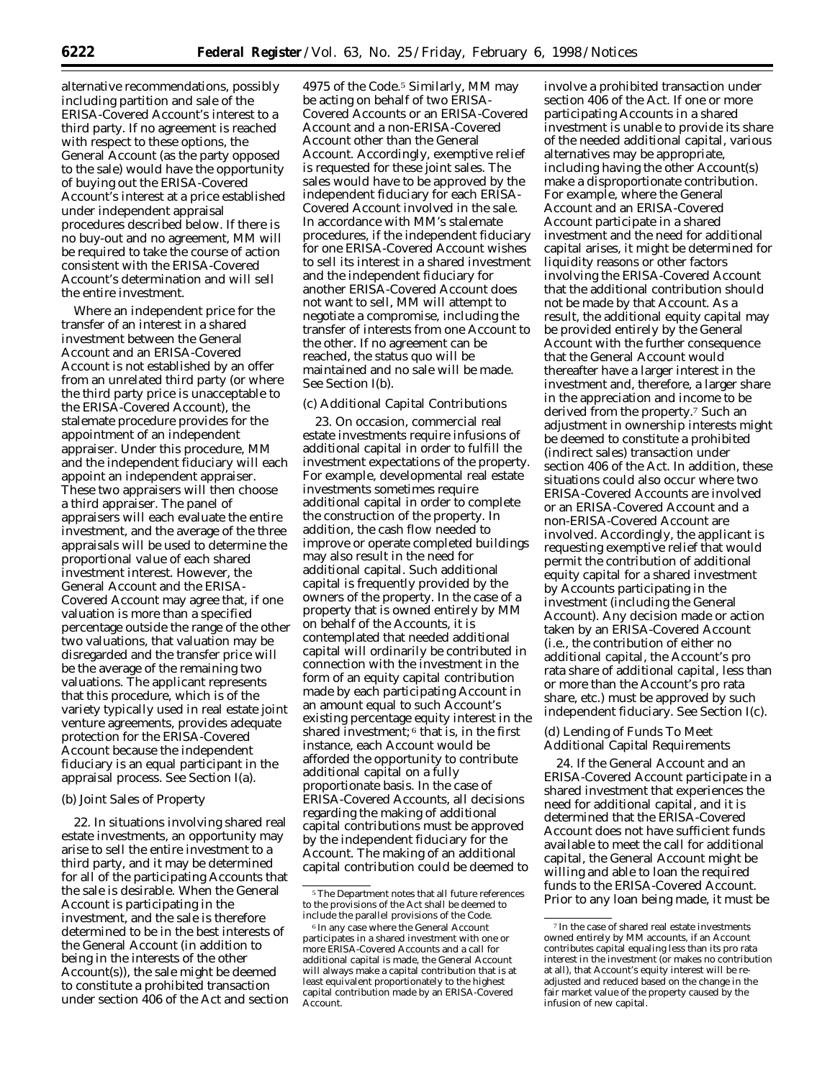alternative recommendations, possibly including partition and sale of the ERISA-Covered Account's interest to a third party. If no agreement is reached with respect to these options, the General Account (as the party opposed to the sale) would have the opportunity of buying out the ERISA-Covered Account's interest at a price established under independent appraisal procedures described below. If there is no buy-out and no agreement, MM will be required to take the course of action consistent with the ERISA-Covered Account's determination and will sell the entire investment.

Where an independent price for the transfer of an interest in a shared investment between the General Account and an ERISA-Covered Account is not established by an offer from an unrelated third party (or where the third party price is unacceptable to the ERISA-Covered Account), the stalemate procedure provides for the appointment of an independent appraiser. Under this procedure, MM and the independent fiduciary will each appoint an independent appraiser. These two appraisers will then choose a third appraiser. The panel of appraisers will each evaluate the entire investment, and the average of the three appraisals will be used to determine the proportional value of each shared investment interest. However, the General Account and the ERISA-Covered Account may agree that, if one valuation is more than a specified percentage outside the range of the other two valuations, that valuation may be disregarded and the transfer price will be the average of the remaining two valuations. The applicant represents that this procedure, which is of the variety typically used in real estate joint venture agreements, provides adequate protection for the ERISA-Covered Account because the independent fiduciary is an equal participant in the appraisal process. See Section I(a).

# (b) Joint Sales of Property

22. In situations involving shared real estate investments, an opportunity may arise to sell the entire investment to a third party, and it may be determined for all of the participating Accounts that the sale is desirable. When the General Account is participating in the investment, and the sale is therefore determined to be in the best interests of the General Account (in addition to being in the interests of the other Account(s)), the sale might be deemed to constitute a prohibited transaction under section 406 of the Act and section

4975 of the Code.5 Similarly, MM may be acting on behalf of two ERISA-Covered Accounts or an ERISA-Covered Account and a non-ERISA-Covered Account other than the General Account. Accordingly, exemptive relief is requested for these joint sales. The sales would have to be approved by the independent fiduciary for each ERISA-Covered Account involved in the sale. In accordance with MM's stalemate procedures, if the independent fiduciary for one ERISA-Covered Account wishes to sell its interest in a shared investment and the independent fiduciary for another ERISA-Covered Account does not want to sell, MM will attempt to negotiate a compromise, including the transfer of interests from one Account to the other. If no agreement can be reached, the status quo will be maintained and no sale will be made. See Section I(b).

# (c) Additional Capital Contributions

23. On occasion, commercial real estate investments require infusions of additional capital in order to fulfill the investment expectations of the property. For example, developmental real estate investments sometimes require additional capital in order to complete the construction of the property. In addition, the cash flow needed to improve or operate completed buildings may also result in the need for additional capital. Such additional capital is frequently provided by the owners of the property. In the case of a property that is owned entirely by MM on behalf of the Accounts, it is contemplated that needed additional capital will ordinarily be contributed in connection with the investment in the form of an equity capital contribution made by each participating Account in an amount equal to such Account's existing percentage equity interest in the shared investment; 6 that is, in the first instance, each Account would be afforded the opportunity to contribute additional capital on a fully proportionate basis. In the case of ERISA-Covered Accounts, all decisions regarding the making of additional capital contributions must be approved by the independent fiduciary for the Account. The making of an additional capital contribution could be deemed to

involve a prohibited transaction under section 406 of the Act. If one or more participating Accounts in a shared investment is unable to provide its share of the needed additional capital, various alternatives may be appropriate, including having the other Account(s) make a disproportionate contribution. For example, where the General Account and an ERISA-Covered Account participate in a shared investment and the need for additional capital arises, it might be determined for liquidity reasons or other factors involving the ERISA-Covered Account that the additional contribution should not be made by that Account. As a result, the additional equity capital may be provided entirely by the General Account with the further consequence that the General Account would thereafter have a larger interest in the investment and, therefore, a larger share in the appreciation and income to be derived from the property.7 Such an adjustment in ownership interests might be deemed to constitute a prohibited (indirect sales) transaction under section 406 of the Act. In addition, these situations could also occur where two ERISA-Covered Accounts are involved or an ERISA-Covered Account and a non-ERISA-Covered Account are involved. Accordingly, the applicant is requesting exemptive relief that would permit the contribution of additional equity capital for a shared investment by Accounts participating in the investment (including the General Account). Any decision made or action taken by an ERISA-Covered Account (i.e., the contribution of either no additional capital, the Account's pro rata share of additional capital, less than or more than the Account's pro rata share, etc.) must be approved by such independent fiduciary. See Section I(c).

# (d) Lending of Funds To Meet Additional Capital Requirements

24. If the General Account and an ERISA-Covered Account participate in a shared investment that experiences the need for additional capital, and it is determined that the ERISA-Covered Account does not have sufficient funds available to meet the call for additional capital, the General Account might be willing and able to loan the required funds to the ERISA-Covered Account. Prior to any loan being made, it must be

<sup>5</sup>The Department notes that all future references to the provisions of the Act shall be deemed to include the parallel provisions of the Code.

<sup>6</sup> In any case where the General Account participates in a shared investment with one or more ERISA-Covered Accounts and a call for additional capital is made, the General Account will always make a capital contribution that is at least equivalent proportionately to the highest capital contribution made by an ERISA-Covered Account.

 $^7\!$  In the case of shared real estate investments owned entirely by MM accounts, if an Account contributes capital equaling less than its pro rata interest in the investment (or makes no contribution at all), that Account's equity interest will be readjusted and reduced based on the change in the fair market value of the property caused by the infusion of new capital.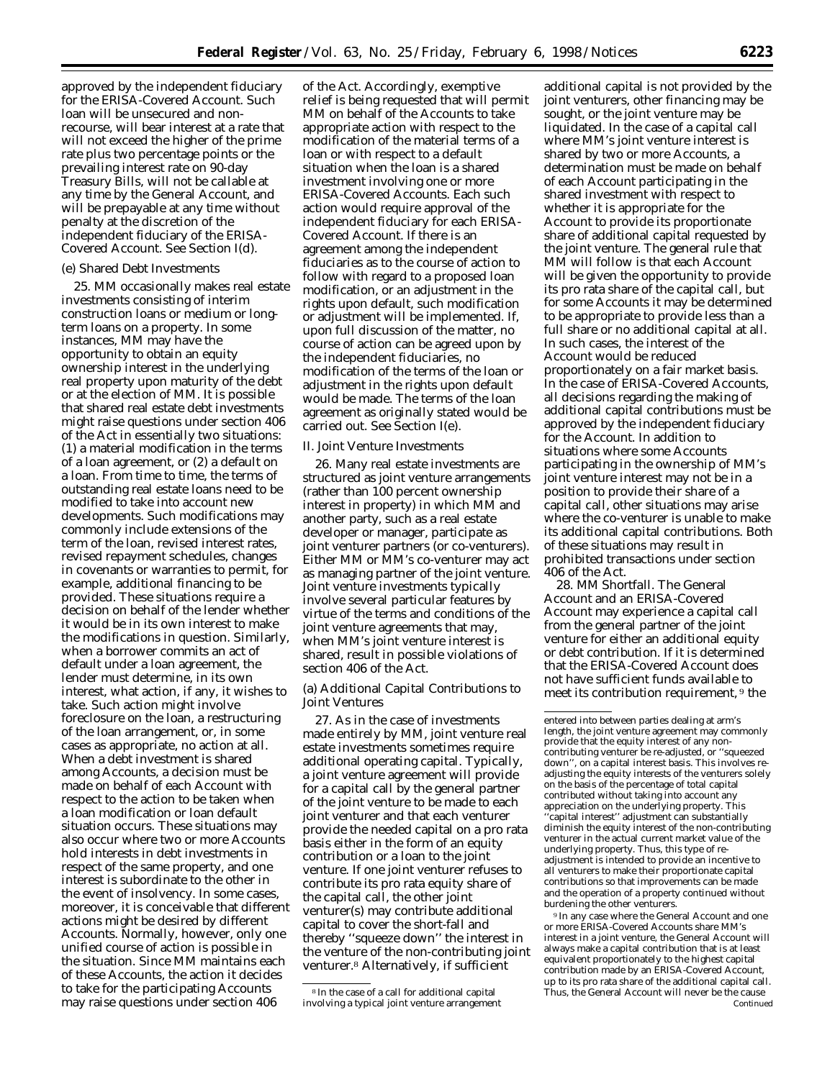approved by the independent fiduciary for the ERISA-Covered Account. Such loan will be unsecured and nonrecourse, will bear interest at a rate that will not exceed the higher of the prime rate plus two percentage points or the prevailing interest rate on 90-day Treasury Bills, will not be callable at any time by the General Account, and will be prepayable at any time without penalty at the discretion of the independent fiduciary of the ERISA-Covered Account. See Section I(d).

# (e) Shared Debt Investments

25. MM occasionally makes real estate investments consisting of interim construction loans or medium or longterm loans on a property. In some instances, MM may have the opportunity to obtain an equity ownership interest in the underlying real property upon maturity of the debt or at the election of MM. It is possible that shared real estate debt investments might raise questions under section 406 of the Act in essentially two situations: (1) a material modification in the terms of a loan agreement, or (2) a default on a loan. From time to time, the terms of outstanding real estate loans need to be modified to take into account new developments. Such modifications may commonly include extensions of the term of the loan, revised interest rates, revised repayment schedules, changes in covenants or warranties to permit, for example, additional financing to be provided. These situations require a decision on behalf of the lender whether it would be in its own interest to make the modifications in question. Similarly, when a borrower commits an act of default under a loan agreement, the lender must determine, in its own interest, what action, if any, it wishes to take. Such action might involve foreclosure on the loan, a restructuring of the loan arrangement, or, in some cases as appropriate, no action at all. When a debt investment is shared among Accounts, a decision must be made on behalf of each Account with respect to the action to be taken when a loan modification or loan default situation occurs. These situations may also occur where two or more Accounts hold interests in debt investments in respect of the same property, and one interest is subordinate to the other in the event of insolvency. In some cases, moreover, it is conceivable that different actions might be desired by different Accounts. Normally, however, only one unified course of action is possible in the situation. Since MM maintains each of these Accounts, the action it decides to take for the participating Accounts may raise questions under section 406

of the Act. Accordingly, exemptive relief is being requested that will permit MM on behalf of the Accounts to take appropriate action with respect to the modification of the material terms of a loan or with respect to a default situation when the loan is a shared investment involving one or more ERISA-Covered Accounts. Each such action would require approval of the independent fiduciary for each ERISA-Covered Account. If there is an agreement among the independent fiduciaries as to the course of action to follow with regard to a proposed loan modification, or an adjustment in the rights upon default, such modification or adjustment will be implemented. If, upon full discussion of the matter, no course of action can be agreed upon by the independent fiduciaries, no modification of the terms of the loan or adjustment in the rights upon default would be made. The terms of the loan agreement as originally stated would be carried out. See Section I(e).

#### *II. Joint Venture Investments*

26. Many real estate investments are structured as joint venture arrangements (rather than 100 percent ownership interest in property) in which MM and another party, such as a real estate developer or manager, participate as joint venturer partners (or co-venturers). Either MM or MM's co-venturer may act as managing partner of the joint venture. Joint venture investments typically involve several particular features by virtue of the terms and conditions of the joint venture agreements that may, when MM's joint venture interest is shared, result in possible violations of section 406 of the Act.

(a) Additional Capital Contributions to Joint Ventures

27. As in the case of investments made entirely by MM, joint venture real estate investments sometimes require additional operating capital. Typically, a joint venture agreement will provide for a capital call by the general partner of the joint venture to be made to each joint venturer and that each venturer provide the needed capital on a pro rata basis either in the form of an equity contribution or a loan to the joint venture. If one joint venturer refuses to contribute its pro rata equity share of the capital call, the other joint venturer(s) may contribute additional capital to cover the short-fall and thereby ''squeeze down'' the interest in the venture of the non-contributing joint venturer.8 Alternatively, if sufficient

additional capital is not provided by the joint venturers, other financing may be sought, or the joint venture may be liquidated. In the case of a capital call where MM's joint venture interest is shared by two or more Accounts, a determination must be made on behalf of each Account participating in the shared investment with respect to whether it is appropriate for the Account to provide its proportionate share of additional capital requested by the joint venture. The general rule that MM will follow is that each Account will be given the opportunity to provide its pro rata share of the capital call, but for some Accounts it may be determined to be appropriate to provide less than a full share or no additional capital at all. In such cases, the interest of the Account would be reduced proportionately on a fair market basis. In the case of ERISA-Covered Accounts, all decisions regarding the making of additional capital contributions must be approved by the independent fiduciary for the Account. In addition to situations where some Accounts participating in the ownership of MM's joint venture interest may not be in a position to provide their share of a capital call, other situations may arise where the co-venturer is unable to make its additional capital contributions. Both of these situations may result in prohibited transactions under section 406 of the Act.

28. *MM Shortfall.* The General Account and an ERISA-Covered Account may experience a capital call from the general partner of the joint venture for either an additional equity or debt contribution. If it is determined that the ERISA-Covered Account does not have sufficient funds available to meet its contribution requirement, 9 the

9 In any case where the General Account and one or more ERISA-Covered Accounts share MM's interest in a joint venture, the General Account will always make a capital contribution that is at least equivalent proportionately to the highest capital contribution made by an ERISA-Covered Account, up to its pro rata share of the additional capital call. Thus, the General Account will never be the cause Continued

<sup>8</sup> In the case of a call for additional capital involving a typical joint venture arrangement

entered into between parties dealing at arm's length, the joint venture agreement may commonly provide that the equity interest of any noncontributing venturer be re-adjusted, or ''squeezed down'', on a capital interest basis. This involves readjusting the equity interests of the venturers solely on the basis of the percentage of total capital contributed without taking into account any appreciation on the underlying property. This 'capital interest'' adjustment can substantially diminish the equity interest of the non-contributing venturer in the actual current market value of the underlying property. Thus, this type of readjustment is intended to provide an incentive to all venturers to make their proportionate capital contributions so that improvements can be made and the operation of a property continued without burdening the other venturers.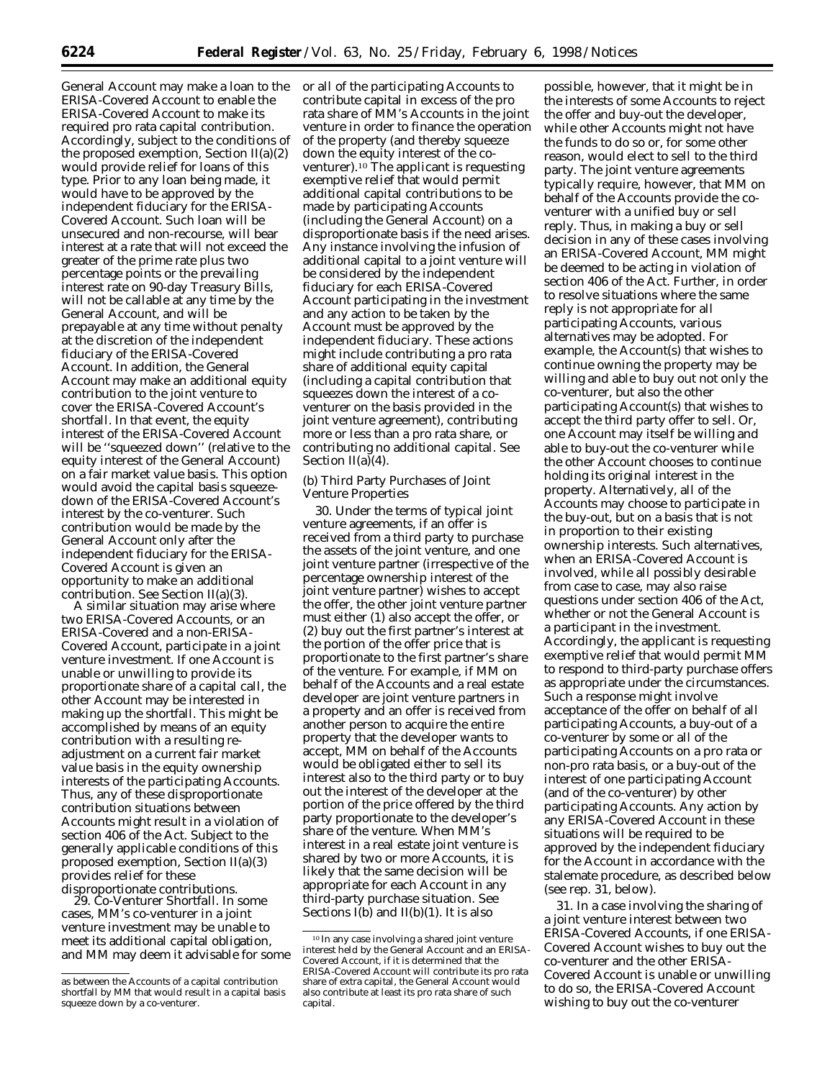General Account may make a loan to the ERISA-Covered Account to enable the ERISA-Covered Account to make its required pro rata capital contribution. Accordingly, subject to the conditions of the proposed exemption, Section  $II(a)(2)$ would provide relief for loans of this type. Prior to any loan being made, it would have to be approved by the independent fiduciary for the ERISA-Covered Account. Such loan will be unsecured and non-recourse, will bear interest at a rate that will not exceed the greater of the prime rate plus two percentage points or the prevailing interest rate on 90-day Treasury Bills, will not be callable at any time by the General Account, and will be prepayable at any time without penalty at the discretion of the independent fiduciary of the ERISA-Covered Account. In addition, the General Account may make an additional equity contribution to the joint venture to cover the ERISA-Covered Account's shortfall. In that event, the equity interest of the ERISA-Covered Account will be ''squeezed down'' (relative to the equity interest of the General Account) on a fair market value basis. This option would avoid the capital basis squeezedown of the ERISA-Covered Account's interest by the co-venturer. Such contribution would be made by the General Account only after the independent fiduciary for the ERISA-Covered Account is given an opportunity to make an additional contribution. See Section II(a)(3).

A similar situation may arise where two ERISA-Covered Accounts, or an ERISA-Covered and a non-ERISA-Covered Account, participate in a joint venture investment. If one Account is unable or unwilling to provide its proportionate share of a capital call, the other Account may be interested in making up the shortfall. This might be accomplished by means of an equity contribution with a resulting readjustment on a current fair market value basis in the equity ownership interests of the participating Accounts. Thus, any of these disproportionate contribution situations between Accounts might result in a violation of section 406 of the Act. Subject to the generally applicable conditions of this proposed exemption, Section II(a)(3) provides relief for these

disproportionate contributions. 29. *Co-Venturer Shortfall.* In some cases, MM's co-venturer in a joint venture investment may be unable to meet its additional capital obligation, and MM may deem it advisable for some or all of the participating Accounts to contribute capital in excess of the pro rata share of MM's Accounts in the joint venture in order to finance the operation of the property (and thereby squeeze down the equity interest of the coventurer).10 The applicant is requesting exemptive relief that would permit additional capital contributions to be made by participating Accounts (including the General Account) on a disproportionate basis if the need arises. Any instance involving the infusion of additional capital to a joint venture will be considered by the independent fiduciary for each ERISA-Covered Account participating in the investment and any action to be taken by the Account must be approved by the independent fiduciary. These actions might include contributing a pro rata share of additional equity capital (including a capital contribution that squeezes down the interest of a coventurer on the basis provided in the joint venture agreement), contributing more or less than a pro rata share, or contributing no additional capital. See Section II(a)(4).

(b) Third Party Purchases of Joint Venture Properties

30. Under the terms of typical joint venture agreements, if an offer is received from a third party to purchase the assets of the joint venture, and one joint venture partner (irrespective of the percentage ownership interest of the joint venture partner) wishes to accept the offer, the other joint venture partner must either (1) also accept the offer, or (2) buy out the first partner's interest at the portion of the offer price that is proportionate to the first partner's share of the venture. For example, if MM on behalf of the Accounts and a real estate developer are joint venture partners in a property and an offer is received from another person to acquire the entire property that the developer wants to accept, MM on behalf of the Accounts would be obligated either to sell its interest also to the third party or to buy out the interest of the developer at the portion of the price offered by the third party proportionate to the developer's share of the venture. When MM's interest in a real estate joint venture is shared by two or more Accounts, it is likely that the same decision will be appropriate for each Account in any third-party purchase situation. See Sections  $I(b)$  and  $II(b)(1)$ . It is also

possible, however, that it might be in the interests of some Accounts to reject the offer and buy-out the developer, while other Accounts might not have the funds to do so or, for some other reason, would elect to sell to the third party. The joint venture agreements typically require, however, that MM on behalf of the Accounts provide the coventurer with a unified buy or sell reply. Thus, in making a buy or sell decision in any of these cases involving an ERISA-Covered Account, MM might be deemed to be acting in violation of section 406 of the Act. Further, in order to resolve situations where the same reply is not appropriate for all participating Accounts, various alternatives may be adopted. For example, the Account(s) that wishes to continue owning the property may be willing and able to buy out not only the co-venturer, but also the other participating Account(s) that wishes to accept the third party offer to sell. Or, one Account may itself be willing and able to buy-out the co-venturer while the other Account chooses to continue holding its original interest in the property. Alternatively, all of the Accounts may choose to participate in the buy-out, but on a basis that is not in proportion to their existing ownership interests. Such alternatives, when an ERISA-Covered Account is involved, while all possibly desirable from case to case, may also raise questions under section 406 of the Act, whether or not the General Account is a participant in the investment. Accordingly, the applicant is requesting exemptive relief that would permit MM to respond to third-party purchase offers as appropriate under the circumstances. Such a response might involve acceptance of the offer on behalf of all participating Accounts, a buy-out of a co-venturer by some or all of the participating Accounts on a pro rata or non-pro rata basis, or a buy-out of the interest of one participating Account (and of the co-venturer) by other participating Accounts. Any action by any ERISA-Covered Account in these situations will be required to be approved by the independent fiduciary for the Account in accordance with the stalemate procedure, as described below (see rep. 31, below).

31. In a case involving the sharing of a joint venture interest between two ERISA-Covered Accounts, if one ERISA-Covered Account wishes to buy out the co-venturer and the other ERISA-Covered Account is unable or unwilling to do so, the ERISA-Covered Account wishing to buy out the co-venturer

as between the Accounts of a capital contribution shortfall by MM that would result in a capital basis squeeze down by a co-venturer.

<sup>10</sup> In any case involving a shared joint venture interest held by the General Account and an ERISA-Covered Account, if it is determined that the ERISA-Covered Account will contribute its pro rata share of extra capital, the General Account would also contribute at least its pro rata share of such capital.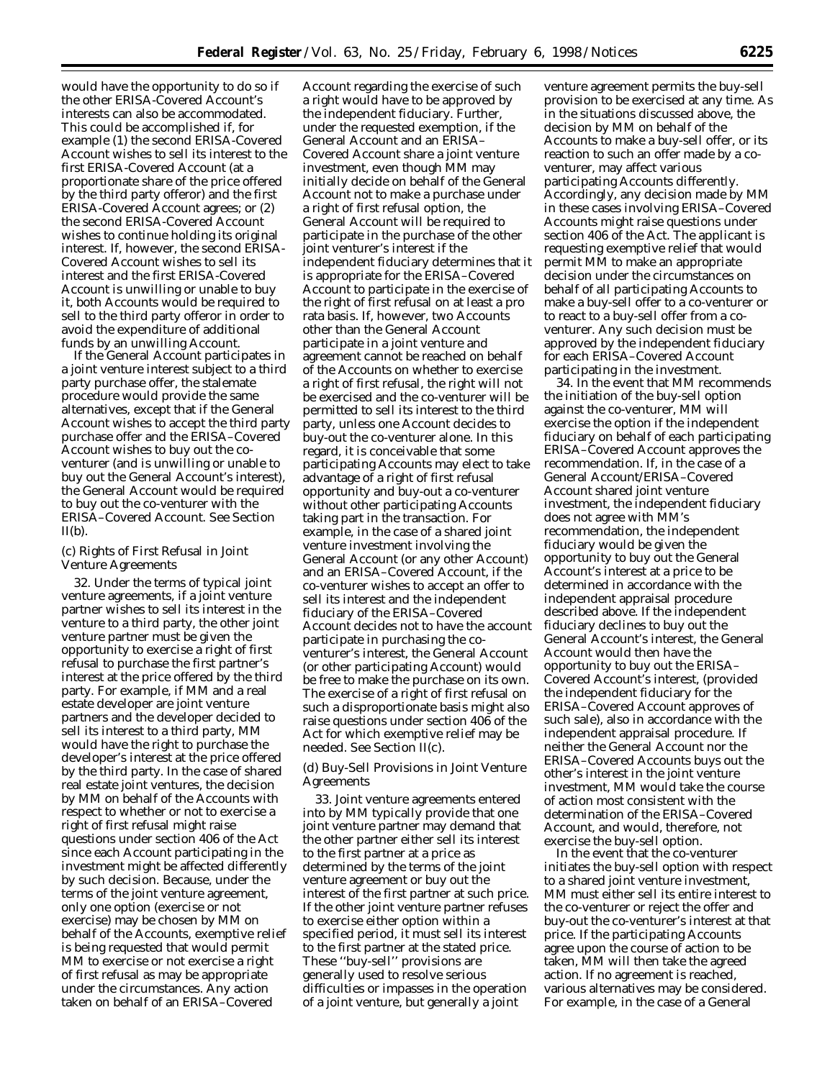would have the opportunity to do so if the other ERISA-Covered Account's interests can also be accommodated. This could be accomplished if, for example (1) the second ERISA-Covered Account wishes to sell its interest to the first ERISA-Covered Account (at a proportionate share of the price offered by the third party offeror) and the first ERISA-Covered Account agrees; or (2) the second ERISA-Covered Account wishes to continue holding its original interest. If, however, the second ERISA-Covered Account wishes to sell its interest and the first ERISA-Covered Account is unwilling or unable to buy it, both Accounts would be required to sell to the third party offeror in order to avoid the expenditure of additional funds by an unwilling Account.

If the General Account participates in a joint venture interest subject to a third party purchase offer, the stalemate procedure would provide the same alternatives, except that if the General Account wishes to accept the third party purchase offer and the ERISA–Covered Account wishes to buy out the coventurer (and is unwilling or unable to buy out the General Account's interest), the General Account would be required to buy out the co-venturer with the ERISA–Covered Account. See Section  $II(b)$ .

# (c) Rights of First Refusal in Joint Venture Agreements

32. Under the terms of typical joint venture agreements, if a joint venture partner wishes to sell its interest in the venture to a third party, the other joint venture partner must be given the opportunity to exercise a right of first refusal to purchase the first partner's interest at the price offered by the third party. For example, if MM and a real estate developer are joint venture partners and the developer decided to sell its interest to a third party, MM would have the right to purchase the developer's interest at the price offered by the third party. In the case of shared real estate joint ventures, the decision by MM on behalf of the Accounts with respect to whether or not to exercise a right of first refusal might raise questions under section 406 of the Act since each Account participating in the investment might be affected differently by such decision. Because, under the terms of the joint venture agreement, only one option (exercise or not exercise) may be chosen by MM on behalf of the Accounts, exemptive relief is being requested that would permit MM to exercise or not exercise a right of first refusal as may be appropriate under the circumstances. Any action taken on behalf of an ERISA–Covered

Account regarding the exercise of such a right would have to be approved by the independent fiduciary. Further, under the requested exemption, if the General Account and an ERISA– Covered Account share a joint venture investment, even though MM may initially decide on behalf of the General Account not to make a purchase under a right of first refusal option, the General Account will be required to participate in the purchase of the other joint venturer's interest if the independent fiduciary determines that it is appropriate for the ERISA–Covered Account to participate in the exercise of the right of first refusal on at least a pro rata basis. If, however, two Accounts other than the General Account participate in a joint venture and agreement cannot be reached on behalf of the Accounts on whether to exercise a right of first refusal, the right will not be exercised and the co-venturer will be permitted to sell its interest to the third party, unless one Account decides to buy-out the co-venturer alone. In this regard, it is conceivable that some participating Accounts may elect to take advantage of a right of first refusal opportunity and buy-out a co-venturer without other participating Accounts taking part in the transaction. For example, in the case of a shared joint venture investment involving the General Account (or any other Account) and an ERISA–Covered Account, if the co-venturer wishes to accept an offer to sell its interest and the independent fiduciary of the ERISA–Covered Account decides not to have the account participate in purchasing the coventurer's interest, the General Account (or other participating Account) would be free to make the purchase on its own. The exercise of a right of first refusal on such a disproportionate basis might also raise questions under section 406 of the Act for which exemptive relief may be needed. See Section II(c).

(d) Buy-Sell Provisions in Joint Venture Agreements

33. Joint venture agreements entered into by MM typically provide that one joint venture partner may demand that the other partner either sell its interest to the first partner at a price as determined by the terms of the joint venture agreement or buy out the interest of the first partner at such price. If the other joint venture partner refuses to exercise either option within a specified period, it must sell its interest to the first partner at the stated price. These ''buy-sell'' provisions are generally used to resolve serious difficulties or impasses in the operation of a joint venture, but generally a joint

venture agreement permits the buy-sell provision to be exercised at any time. As in the situations discussed above, the decision by MM on behalf of the Accounts to make a buy-sell offer, or its reaction to such an offer made by a coventurer, may affect various participating Accounts differently. Accordingly, any decision made by MM in these cases involving ERISA–Covered Accounts might raise questions under section 406 of the Act. The applicant is requesting exemptive relief that would permit MM to make an appropriate decision under the circumstances on behalf of all participating Accounts to make a buy-sell offer to a co-venturer or to react to a buy-sell offer from a coventurer. Any such decision must be approved by the independent fiduciary for each ERISA–Covered Account participating in the investment.

34. In the event that MM recommends the initiation of the buy-sell option against the co-venturer, MM will exercise the option if the independent fiduciary on behalf of each participating ERISA–Covered Account approves the recommendation. If, in the case of a General Account/ERISA–Covered Account shared joint venture investment, the independent fiduciary does not agree with MM's recommendation, the independent fiduciary would be given the opportunity to buy out the General Account's interest at a price to be determined in accordance with the independent appraisal procedure described above. If the independent fiduciary declines to buy out the General Account's interest, the General Account would then have the opportunity to buy out the ERISA– Covered Account's interest, (provided the independent fiduciary for the ERISA–Covered Account approves of such sale), also in accordance with the independent appraisal procedure. If neither the General Account nor the ERISA–Covered Accounts buys out the other's interest in the joint venture investment, MM would take the course of action most consistent with the determination of the ERISA–Covered Account, and would, therefore, not exercise the buy-sell option.

In the event that the co-venturer initiates the buy-sell option with respect to a shared joint venture investment, MM must either sell its entire interest to the co-venturer or reject the offer and buy-out the co-venturer's interest at that price. If the participating Accounts agree upon the course of action to be taken, MM will then take the agreed action. If no agreement is reached, various alternatives may be considered. For example, in the case of a General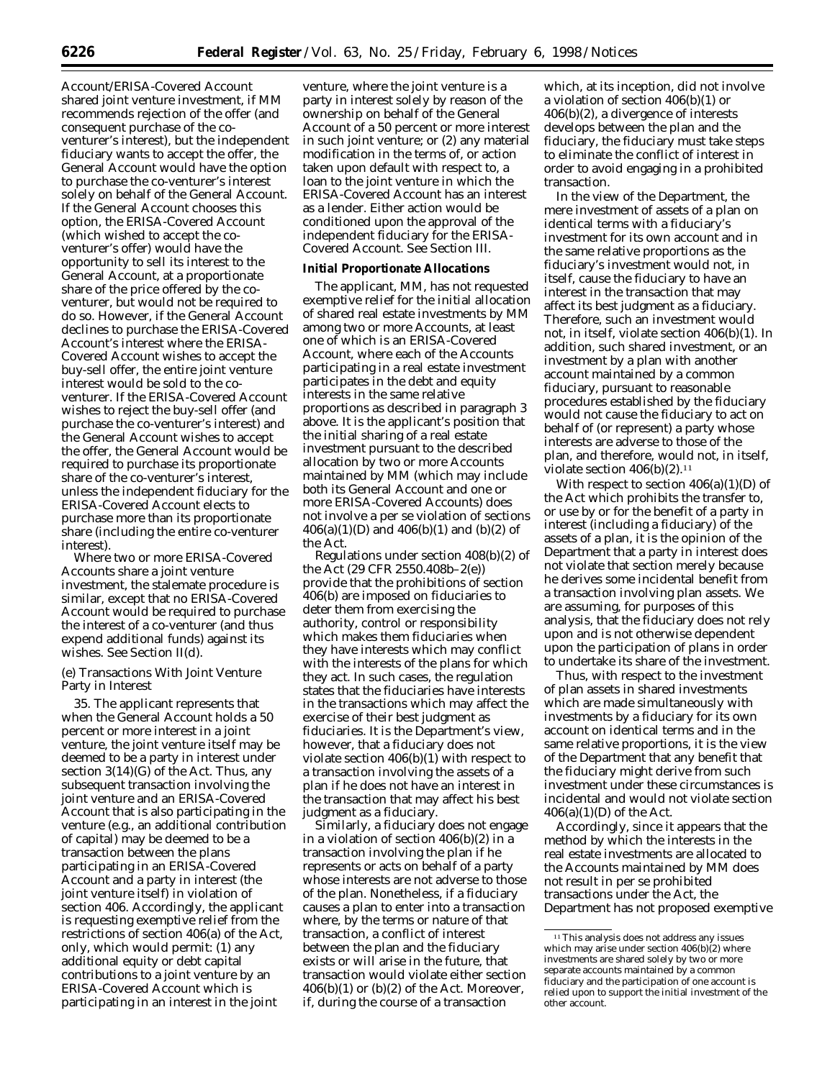Account/ERISA-Covered Account shared joint venture investment, if MM recommends rejection of the offer (and consequent purchase of the coventurer's interest), but the independent fiduciary wants to accept the offer, the General Account would have the option to purchase the co-venturer's interest solely on behalf of the General Account. If the General Account chooses this option, the ERISA-Covered Account (which wished to accept the coventurer's offer) would have the opportunity to sell its interest to the General Account, at a proportionate share of the price offered by the coventurer, but would not be required to do so. However, if the General Account declines to purchase the ERISA-Covered Account's interest where the ERISA-Covered Account wishes to accept the buy-sell offer, the entire joint venture interest would be sold to the coventurer. If the ERISA-Covered Account wishes to reject the buy-sell offer (and purchase the co-venturer's interest) and the General Account wishes to accept the offer, the General Account would be required to purchase its proportionate share of the co-venturer's interest, unless the independent fiduciary for the ERISA-Covered Account elects to purchase more than its proportionate share (including the entire co-venturer interest).

Where two or more ERISA-Covered Accounts share a joint venture investment, the stalemate procedure is similar, except that no ERISA-Covered Account would be required to purchase the interest of a co-venturer (and thus expend additional funds) against its wishes. See Section II(d).

# (e) Transactions With Joint Venture Party in Interest

35. The applicant represents that when the General Account holds a 50 percent or more interest in a joint venture, the joint venture itself may be deemed to be a party in interest under section 3(14)(G) of the Act. Thus, any subsequent transaction involving the joint venture and an ERISA-Covered Account that is also participating in the venture (*e.g.,* an additional contribution of capital) may be deemed to be a transaction between the plans participating in an ERISA-Covered Account and a party in interest (the joint venture itself) in violation of section 406. Accordingly, the applicant is requesting exemptive relief from the restrictions of section 406(a) of the Act, only, which would permit: (1) any additional equity or debt capital contributions to a joint venture by an ERISA-Covered Account which is participating in an interest in the joint

venture, where the joint venture is a party in interest solely by reason of the ownership on behalf of the General Account of a 50 percent or more interest in such joint venture; or (2) any material modification in the terms of, or action taken upon default with respect to, a loan to the joint venture in which the ERISA-Covered Account has an interest as a lender. Either action would be conditioned upon the approval of the independent fiduciary for the ERISA-Covered Account. See Section III.

#### **Initial Proportionate Allocations**

The applicant, MM, has not requested exemptive relief for the initial allocation of shared real estate investments by MM among two or more Accounts, at least one of which is an ERISA-Covered Account, where each of the Accounts participating in a real estate investment participates in the debt and equity interests in the same relative proportions as described in paragraph 3 above. It is the applicant's position that the initial sharing of a real estate investment pursuant to the described allocation by two or more Accounts maintained by MM (which may include both its General Account and one or more ERISA-Covered Accounts) does not involve a *per se* violation of sections  $406(a)(1)(D)$  and  $406(b)(1)$  and  $(b)(2)$  of the Act.

Regulations under section 408(b)(2) of the Act (29 CFR 2550.408b–2(e)) provide that the prohibitions of section 406(b) are imposed on fiduciaries to deter them from exercising the authority, control or responsibility which makes them fiduciaries when they have interests which may conflict with the interests of the plans for which they act. In such cases, the regulation states that the fiduciaries have interests in the transactions which may affect the exercise of their best judgment as fiduciaries. It is the Department's view, however, that a fiduciary does not violate section 406(b)(1) with respect to a transaction involving the assets of a plan if he does not have an interest in the transaction that may affect his best judgment as a fiduciary.

Similarly, a fiduciary does not engage in a violation of section 406(b)(2) in a transaction involving the plan if he represents or acts on behalf of a party whose interests are not adverse to those of the plan. Nonetheless, if a fiduciary causes a plan to enter into a transaction where, by the terms or nature of that transaction, a conflict of interest between the plan and the fiduciary exists or will arise in the future, that transaction would violate either section  $406(b)(1)$  or  $(b)(2)$  of the Act. Moreover, if, during the course of a transaction

which, at its inception, did not involve a violation of section 406(b)(1) or 406(b)(2), a divergence of interests develops between the plan and the fiduciary, the fiduciary must take steps to eliminate the conflict of interest in order to avoid engaging in a prohibited transaction.

In the view of the Department, the mere investment of assets of a plan on identical terms with a fiduciary's investment for its own account and in the same relative proportions as the fiduciary's investment would not, in itself, cause the fiduciary to have an interest in the transaction that may affect its best judgment as a fiduciary. Therefore, such an investment would not, in itself, violate section 406(b)(1). In addition, such shared investment, or an investment by a plan with another account maintained by a common fiduciary, pursuant to reasonable procedures established by the fiduciary would not cause the fiduciary to act on behalf of (or represent) a party whose interests are adverse to those of the plan, and therefore, would not, in itself, violate section  $406(b)(2)$ .<sup>11</sup>

With respect to section  $406(a)(1)(D)$  of the Act which prohibits the transfer to, or use by or for the benefit of a party in interest (including a fiduciary) of the assets of a plan, it is the opinion of the Department that a party in interest does not violate that section merely because he derives some incidental benefit from a transaction involving plan assets. We are assuming, for purposes of this analysis, that the fiduciary does not rely upon and is not otherwise dependent upon the participation of plans in order to undertake its share of the investment.

Thus, with respect to the investment of plan assets in shared investments which are made simultaneously with investments by a fiduciary for its own account on identical terms and in the same relative proportions, it is the view of the Department that any benefit that the fiduciary might derive from such investment under these circumstances is incidental and would not violate section  $406(a)(1)(D)$  of the Act.

Accordingly, since it appears that the method by which the interests in the real estate investments are allocated to the Accounts maintained by MM does not result in *per se* prohibited transactions under the Act, the Department has not proposed exemptive

<sup>11</sup>This analysis does not address any issues which may arise under section  $406(b)(2)$  where investments are shared solely by two or more separate accounts maintained by a common fiduciary and the participation of one account is relied upon to support the initial investment of the other account.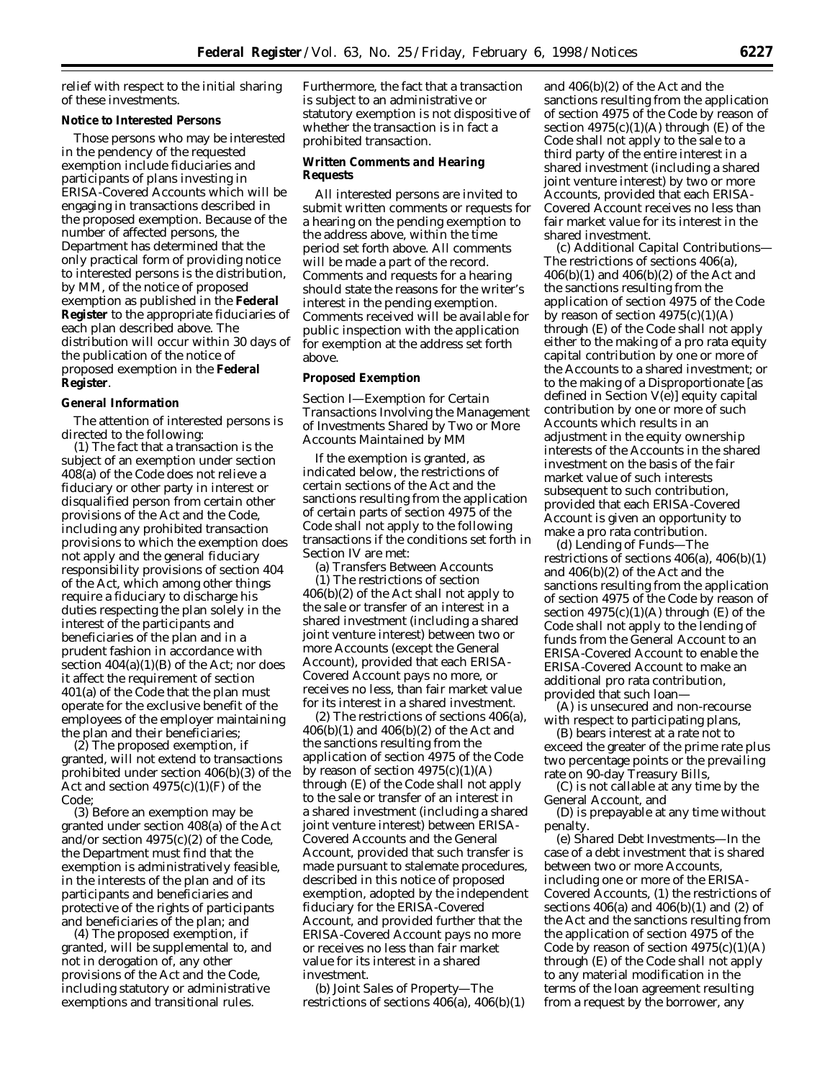relief with respect to the initial sharing of these investments.

# **Notice to Interested Persons**

Those persons who may be interested in the pendency of the requested exemption include fiduciaries and participants of plans investing in ERISA-Covered Accounts which will be engaging in transactions described in the proposed exemption. Because of the number of affected persons, the Department has determined that the only practical form of providing notice to interested persons is the distribution, by MM, of the notice of proposed exemption as published in the **Federal Register** to the appropriate fiduciaries of each plan described above. The distribution will occur within 30 days of the publication of the notice of proposed exemption in the **Federal Register**.

#### **General Information**

The attention of interested persons is directed to the following:

(1) The fact that a transaction is the subject of an exemption under section 408(a) of the Code does not relieve a fiduciary or other party in interest or disqualified person from certain other provisions of the Act and the Code, including any prohibited transaction provisions to which the exemption does not apply and the general fiduciary responsibility provisions of section 404 of the Act, which among other things require a fiduciary to discharge his duties respecting the plan solely in the interest of the participants and beneficiaries of the plan and in a prudent fashion in accordance with section  $404(a)(1)(B)$  of the Act; nor does it affect the requirement of section 401(a) of the Code that the plan must operate for the exclusive benefit of the employees of the employer maintaining the plan and their beneficiaries;

(2) The proposed exemption, if granted, will not extend to transactions prohibited under section 406(b)(3) of the Act and section  $4975(c)(1)(F)$  of the Code;

(3) Before an exemption may be granted under section 408(a) of the Act and/or section 4975(c)(2) of the Code, the Department must find that the exemption is administratively feasible, in the interests of the plan and of its participants and beneficiaries and protective of the rights of participants and beneficiaries of the plan; and

(4) The proposed exemption, if granted, will be supplemental to, and not in derogation of, any other provisions of the Act and the Code, including statutory or administrative exemptions and transitional rules.

Furthermore, the fact that a transaction is subject to an administrative or statutory exemption is not dispositive of whether the transaction is in fact a prohibited transaction.

### **Written Comments and Hearing Requests**

All interested persons are invited to submit written comments or requests for a hearing on the pending exemption to the address above, within the time period set forth above. All comments will be made a part of the record. Comments and requests for a hearing should state the reasons for the writer's interest in the pending exemption. Comments received will be available for public inspection with the application for exemption at the address set forth above.

#### **Proposed Exemption**

*Section I—Exemption for Certain Transactions Involving the Management of Investments Shared by Two or More Accounts Maintained by MM*

If the exemption is granted, as indicated below, the restrictions of certain sections of the Act and the sanctions resulting from the application of certain parts of section 4975 of the Code shall not apply to the following transactions if the conditions set forth in Section IV are met:

(a) *Transfers Between Accounts* (1) The restrictions of section 406(b)(2) of the Act shall not apply to the sale or transfer of an interest in a shared investment (including a shared joint venture interest) between two or more Accounts (except the General Account), provided that each ERISA-Covered Account pays no more, or receives no less, than fair market value for its interest in a shared investment.

(2) The restrictions of sections 406(a), 406(b)(1) and 406(b)(2) of the Act and the sanctions resulting from the application of section 4975 of the Code by reason of section  $4975(c)(1)(A)$ through (E) of the Code shall not apply to the sale or transfer of an interest in a shared investment (including a shared joint venture interest) between ERISA-Covered Accounts and the General Account, provided that such transfer is made pursuant to stalemate procedures, described in this notice of proposed exemption, adopted by the independent fiduciary for the ERISA-Covered Account, and provided further that the ERISA-Covered Account pays no more or receives no less than fair market value for its interest in a shared investment.

(b) *Joint Sales of Property*—The restrictions of sections  $406(a)$ ,  $406(b)(1)$ 

and 406(b)(2) of the Act and the sanctions resulting from the application of section 4975 of the Code by reason of section  $4975(c)(1)(A)$  through (E) of the Code shall not apply to the sale to a third party of the entire interest in a shared investment (including a shared joint venture interest) by two or more Accounts, provided that each ERISA-Covered Account receives no less than fair market value for its interest in the shared investment.

(c) *Additional Capital Contributions*— The restrictions of sections 406(a), 406(b)(1) and 406(b)(2) of the Act and the sanctions resulting from the application of section 4975 of the Code by reason of section  $4975(c)(1)(A)$ through (E) of the Code shall not apply either to the making of a pro rata equity capital contribution by one or more of the Accounts to a shared investment; or to the making of a Disproportionate [as defined in Section V(e)] equity capital contribution by one or more of such Accounts which results in an adjustment in the equity ownership interests of the Accounts in the shared investment on the basis of the fair market value of such interests subsequent to such contribution, provided that each ERISA-Covered Account is given an opportunity to make a pro rata contribution.

(d) *Lending of Funds*—The restrictions of sections 406(a), 406(b)(1) and 406(b)(2) of the Act and the sanctions resulting from the application of section 4975 of the Code by reason of section  $4975(c)(1)(A)$  through (E) of the Code shall not apply to the lending of funds from the General Account to an ERISA-Covered Account to enable the ERISA-Covered Account to make an additional pro rata contribution, provided that such loan—

(A) is unsecured and non-recourse with respect to participating plans,

(B) bears interest at a rate not to exceed the greater of the prime rate plus two percentage points or the prevailing rate on 90-day Treasury Bills,

(C) is not callable at any time by the General Account, and

(D) is prepayable at any time without penalty.

(e) *Shared Debt Investments*—In the case of a debt investment that is shared between two or more Accounts, including one or more of the ERISA-Covered Accounts, (1) the restrictions of sections 406(a) and 406(b)(1) and (2) of the Act and the sanctions resulting from the application of section 4975 of the Code by reason of section  $4975(c)(1)(A)$ through (E) of the Code shall not apply to any material modification in the terms of the loan agreement resulting from a request by the borrower, any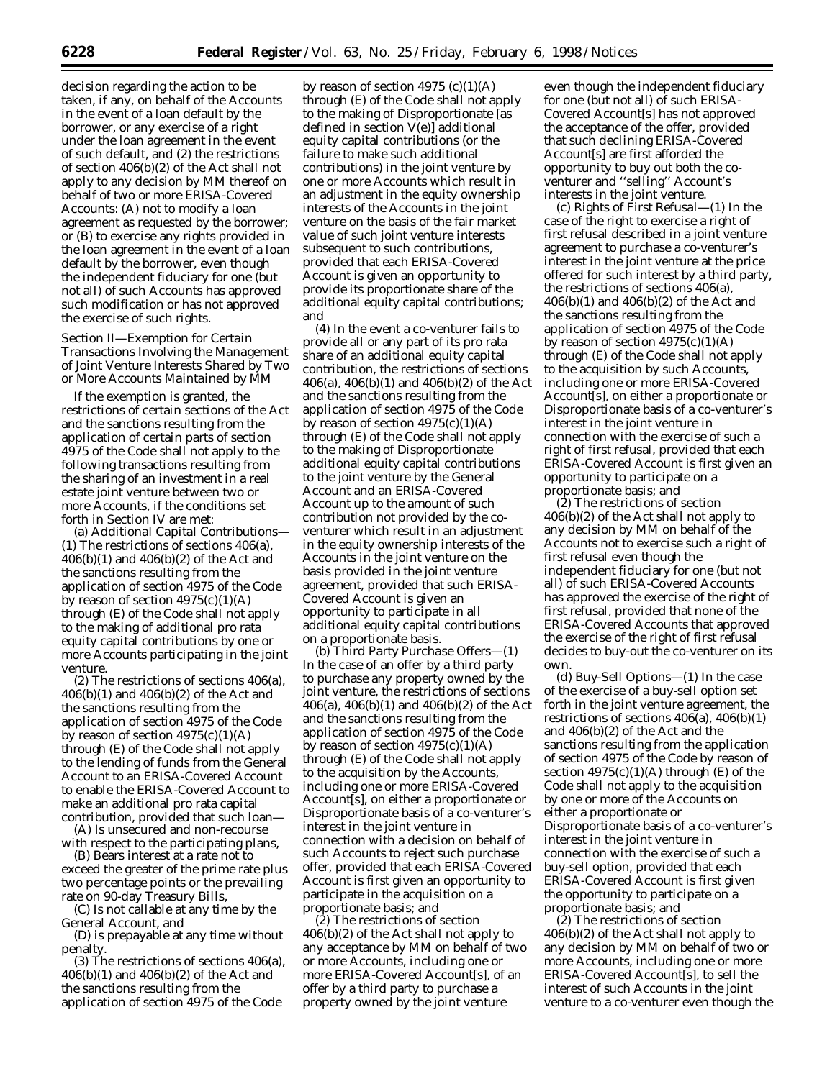decision regarding the action to be taken, if any, on behalf of the Accounts in the event of a loan default by the borrower, or any exercise of a right under the loan agreement in the event of such default, and (2) the restrictions of section 406(b)(2) of the Act shall not apply to any decision by MM thereof on behalf of two or more ERISA-Covered Accounts: (A) not to modify a loan agreement as requested by the borrower; or (B) to exercise any rights provided in the loan agreement in the event of a loan default by the borrower, even though the independent fiduciary for one (but not all) of such Accounts has approved such modification or has not approved the exercise of such rights.

# *Section II—Exemption for Certain Transactions Involving the Management of Joint Venture Interests Shared by Two or More Accounts Maintained by MM*

If the exemption is granted, the restrictions of certain sections of the Act and the sanctions resulting from the application of certain parts of section 4975 of the Code shall not apply to the following transactions resulting from the sharing of an investment in a real estate joint venture between two or more Accounts, if the conditions set forth in Section IV are met:

(a) *Additional Capital Contributions*— (1) The restrictions of sections 406(a), 406(b)(1) and 406(b)(2) of the Act and the sanctions resulting from the application of section 4975 of the Code by reason of section  $4975(c)(1)(A)$ through (E) of the Code shall not apply to the making of additional pro rata equity capital contributions by one or more Accounts participating in the joint venture.

(2) The restrictions of sections 406(a), 406(b)(1) and 406(b)(2) of the Act and the sanctions resulting from the application of section 4975 of the Code by reason of section  $4975(c)(1)(A)$ through (E) of the Code shall not apply to the lending of funds from the General Account to an ERISA-Covered Account to enable the ERISA-Covered Account to make an additional pro rata capital contribution, provided that such loan—

(A) Is unsecured and non-recourse with respect to the participating plans,

(B) Bears interest at a rate not to exceed the greater of the prime rate plus two percentage points or the prevailing rate on 90-day Treasury Bills,

(C) Is not callable at any time by the General Account, and

(D) is prepayable at any time without penalty.

(3) The restrictions of sections 406(a), 406(b)(1) and 406(b)(2) of the Act and the sanctions resulting from the application of section 4975 of the Code

by reason of section 4975  $(c)(1)(A)$ through (E) of the Code shall not apply to the making of Disproportionate [as defined in section V(e)] additional equity capital contributions (or the failure to make such additional contributions) in the joint venture by one or more Accounts which result in an adjustment in the equity ownership interests of the Accounts in the joint venture on the basis of the fair market value of such joint venture interests subsequent to such contributions, provided that each ERISA-Covered Account is given an opportunity to provide its proportionate share of the additional equity capital contributions; and

(4) In the event a co-venturer fails to provide all or any part of its pro rata share of an additional equity capital contribution, the restrictions of sections 406(a), 406(b)(1) and 406(b)(2) of the Act and the sanctions resulting from the application of section 4975 of the Code by reason of section  $4975(c)(1)(A)$ through (E) of the Code shall not apply to the making of Disproportionate additional equity capital contributions to the joint venture by the General Account and an ERISA-Covered Account up to the amount of such contribution not provided by the coventurer which result in an adjustment in the equity ownership interests of the Accounts in the joint venture on the basis provided in the joint venture agreement, provided that such ERISA-Covered Account is given an opportunity to participate in all additional equity capital contributions on a proportionate basis.

(b) *Third Party Purchase Offers*—(1) In the case of an offer by a third party to purchase any property owned by the joint venture, the restrictions of sections 406(a), 406(b)(1) and 406(b)(2) of the Act and the sanctions resulting from the application of section 4975 of the Code by reason of section  $4975(c)(1)(A)$ through (E) of the Code shall not apply to the acquisition by the Accounts, including one or more ERISA-Covered Account[s], on either a proportionate or Disproportionate basis of a co-venturer's interest in the joint venture in connection with a decision on behalf of such Accounts to reject such purchase offer, provided that each ERISA-Covered Account is first given an opportunity to participate in the acquisition on a proportionate basis; and

(2) The restrictions of section 406(b)(2) of the Act shall not apply to any acceptance by MM on behalf of two or more Accounts, including one or more ERISA-Covered Account[s], of an offer by a third party to purchase a property owned by the joint venture

even though the independent fiduciary for one (but not all) of such ERISA-Covered Account[s] has not approved the acceptance of the offer, provided that such declining ERISA-Covered Account[s] are first afforded the opportunity to buy out both the coventurer and ''selling'' Account's interests in the joint venture.

(c) *Rights of First Refusal*—(1) In the case of the right to exercise a right of first refusal described in a joint venture agreement to purchase a co-venturer's interest in the joint venture at the price offered for such interest by a third party, the restrictions of sections 406(a), 406(b)(1) and 406(b)(2) of the Act and the sanctions resulting from the application of section 4975 of the Code by reason of section  $4975(c)(1)(A)$ through (E) of the Code shall not apply to the acquisition by such Accounts, including one or more ERISA-Covered Account[s], on either a proportionate or Disproportionate basis of a co-venturer's interest in the joint venture in connection with the exercise of such a right of first refusal, provided that each ERISA-Covered Account is first given an opportunity to participate on a proportionate basis; and

(2) The restrictions of section 406(b)(2) of the Act shall not apply to any decision by MM on behalf of the Accounts not to exercise such a right of first refusal even though the independent fiduciary for one (but not all) of such ERISA-Covered Accounts has approved the exercise of the right of first refusal, provided that none of the ERISA-Covered Accounts that approved the exercise of the right of first refusal decides to buy-out the co-venturer on its own.

(d) *Buy-Sell Options*—(1) In the case of the exercise of a buy-sell option set forth in the joint venture agreement, the restrictions of sections  $406(a)$ ,  $406(b)(1)$ and 406(b)(2) of the Act and the sanctions resulting from the application of section 4975 of the Code by reason of section  $4975(c)(1)(A)$  through (E) of the Code shall not apply to the acquisition by one or more of the Accounts on either a proportionate or Disproportionate basis of a co-venturer's interest in the joint venture in connection with the exercise of such a buy-sell option, provided that each ERISA-Covered Account is first given the opportunity to participate on a proportionate basis; and

(2) The restrictions of section 406(b)(2) of the Act shall not apply to any decision by MM on behalf of two or more Accounts, including one or more ERISA-Covered Account[s], to sell the interest of such Accounts in the joint venture to a co-venturer even though the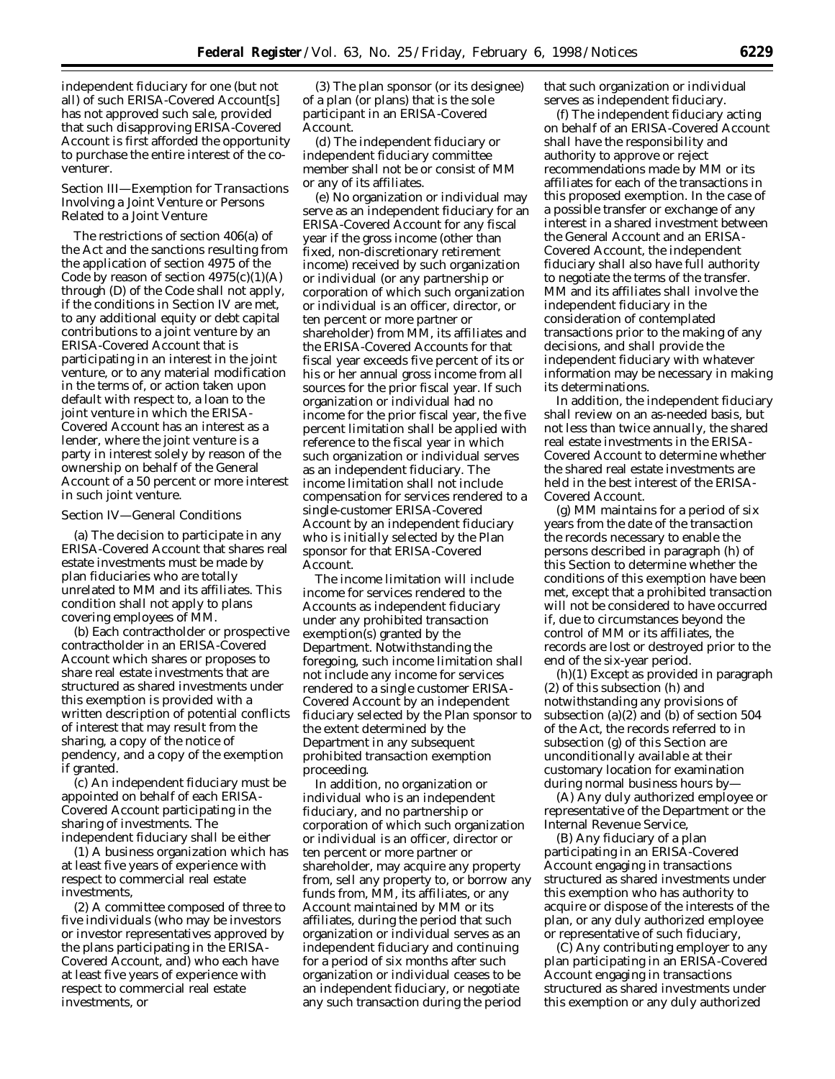independent fiduciary for one (but not all) of such ERISA-Covered Account[s] has not approved such sale, provided that such disapproving ERISA-Covered Account is first afforded the opportunity to purchase the entire interest of the coventurer.

## *Section III—Exemption for Transactions Involving a Joint Venture or Persons Related to a Joint Venture*

The restrictions of section 406(a) of the Act and the sanctions resulting from the application of section 4975 of the Code by reason of section  $4975(c)(1)(A)$ through (D) of the Code shall not apply, if the conditions in Section IV are met, to any additional equity or debt capital contributions to a joint venture by an ERISA-Covered Account that is participating in an interest in the joint venture, or to any material modification in the terms of, or action taken upon default with respect to, a loan to the joint venture in which the ERISA-Covered Account has an interest as a lender, where the joint venture is a party in interest solely by reason of the ownership on behalf of the General Account of a 50 percent or more interest in such joint venture.

# *Section IV—General Conditions*

(a) The decision to participate in any ERISA-Covered Account that shares real estate investments must be made by plan fiduciaries who are totally unrelated to MM and its affiliates. This condition shall not apply to plans covering employees of MM.

(b) Each contractholder or prospective contractholder in an ERISA-Covered Account which shares or proposes to share real estate investments that are structured as shared investments under this exemption is provided with a written description of potential conflicts of interest that may result from the sharing, a copy of the notice of pendency, and a copy of the exemption if granted.

(c) An independent fiduciary must be appointed on behalf of each ERISA-Covered Account participating in the sharing of investments. The independent fiduciary shall be either

(1) A business organization which has at least five years of experience with respect to commercial real estate investments,

(2) A committee composed of three to five individuals (who may be investors or investor representatives approved by the plans participating in the ERISA-Covered Account, and) who each have at least five years of experience with respect to commercial real estate investments, or

(3) The plan sponsor (or its designee) of a plan (or plans) that is the sole participant in an ERISA-Covered Account.

(d) The independent fiduciary or independent fiduciary committee member shall not be or consist of MM or any of its affiliates.

(e) No organization or individual may serve as an independent fiduciary for an ERISA-Covered Account for any fiscal year if the gross income (other than fixed, non-discretionary retirement income) received by such organization or individual (or any partnership or corporation of which such organization or individual is an officer, director, or ten percent or more partner or shareholder) from MM, its affiliates and the ERISA-Covered Accounts for that fiscal year exceeds five percent of its or his or her annual gross income from all sources for the prior fiscal year. If such organization or individual had no income for the prior fiscal year, the five percent limitation shall be applied with reference to the fiscal year in which such organization or individual serves as an independent fiduciary. The income limitation shall not include compensation for services rendered to a single-customer ERISA-Covered Account by an independent fiduciary who is initially selected by the Plan sponsor for that ERISA-Covered Account.

The income limitation will include income for services rendered to the Accounts as independent fiduciary under any prohibited transaction exemption(s) granted by the Department. Notwithstanding the foregoing, such income limitation shall not include any income for services rendered to a single customer ERISA-Covered Account by an independent fiduciary selected by the Plan sponsor to the extent determined by the Department in any subsequent prohibited transaction exemption proceeding.

In addition, no organization or individual who is an independent fiduciary, and no partnership or corporation of which such organization or individual is an officer, director or ten percent or more partner or shareholder, may acquire any property from, sell any property to, or borrow any funds from, MM, its affiliates, or any Account maintained by MM or its affiliates, during the period that such organization or individual serves as an independent fiduciary and continuing for a period of six months after such organization or individual ceases to be an independent fiduciary, or negotiate any such transaction during the period

that such organization or individual serves as independent fiduciary.

(f) The independent fiduciary acting on behalf of an ERISA-Covered Account shall have the responsibility and authority to approve or reject recommendations made by MM or its affiliates for each of the transactions in this proposed exemption. In the case of a possible transfer or exchange of any interest in a shared investment between the General Account and an ERISA-Covered Account, the independent fiduciary shall also have full authority to negotiate the terms of the transfer. MM and its affiliates shall involve the independent fiduciary in the consideration of contemplated transactions prior to the making of any decisions, and shall provide the independent fiduciary with whatever information may be necessary in making its determinations.

In addition, the independent fiduciary shall review on an as-needed basis, but not less than twice annually, the shared real estate investments in the ERISA-Covered Account to determine whether the shared real estate investments are held in the best interest of the ERISA-Covered Account.

(g) MM maintains for a period of six years from the date of the transaction the records necessary to enable the persons described in paragraph (h) of this Section to determine whether the conditions of this exemption have been met, except that a prohibited transaction will not be considered to have occurred if, due to circumstances beyond the control of MM or its affiliates, the records are lost or destroyed prior to the end of the six-year period.

(h)(1) Except as provided in paragraph (2) of this subsection (h) and notwithstanding any provisions of subsection (a) $(2)$  and (b) of section 504 of the Act, the records referred to in subsection (g) of this Section are unconditionally available at their customary location for examination during normal business hours by—

(A) Any duly authorized employee or representative of the Department or the Internal Revenue Service,

(B) Any fiduciary of a plan participating in an ERISA-Covered Account engaging in transactions structured as shared investments under this exemption who has authority to acquire or dispose of the interests of the plan, or any duly authorized employee or representative of such fiduciary,

(C) Any contributing employer to any plan participating in an ERISA-Covered Account engaging in transactions structured as shared investments under this exemption or any duly authorized